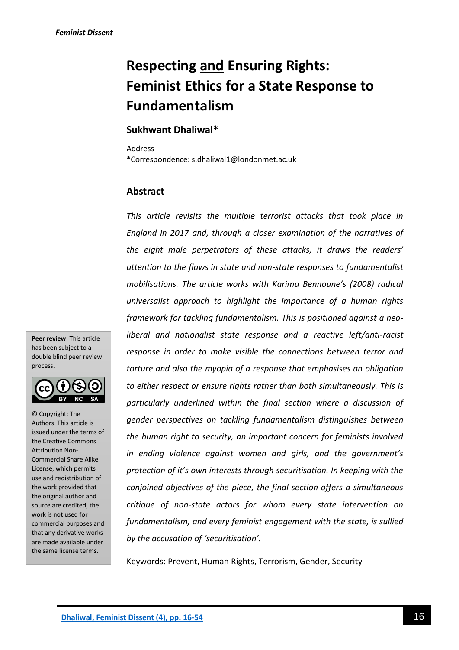# **Respecting and Ensuring Rights: Feminist Ethics for a State Response to Fundamentalism**

# **Sukhwant Dhaliwal\***

Address \*Correspondence: s.dhaliwal1@londonmet.ac.uk

# **Abstract**

*This article revisits the multiple terrorist attacks that took place in England in 2017 and, through a closer examination of the narratives of the eight male perpetrators of these attacks, it draws the readers' attention to the flaws in state and non-state responses to fundamentalist mobilisations. The article works with Karima Bennoune's (2008) radical universalist approach to highlight the importance of a human rights framework for tackling fundamentalism. This is positioned against a neoliberal and nationalist state response and a reactive left/anti-racist response in order to make visible the connections between terror and torture and also the myopia of a response that emphasises an obligation to either respect or ensure rights rather than both simultaneously. This is particularly underlined within the final section where a discussion of gender perspectives on tackling fundamentalism distinguishes between the human right to security, an important concern for feminists involved in ending violence against women and girls, and the government's protection of it's own interests through securitisation. In keeping with the conjoined objectives of the piece, the final section offers a simultaneous critique of non-state actors for whom every state intervention on fundamentalism, and every feminist engagement with the state, is sullied by the accusation of 'securitisation'.*

Keywords: Prevent, Human Rights, Terrorism, Gender, Security

**Peer review**: This article has been subject to a double blind peer review process.



© Copyright: The Authors. This article is issued under the terms of the Creative Commons Attribution Non-Commercial Share Alike License, which permits use and redistribution of the work provided that the original author and source are credited, the work is not used for commercial purposes and that any derivative works are made available under the same license terms.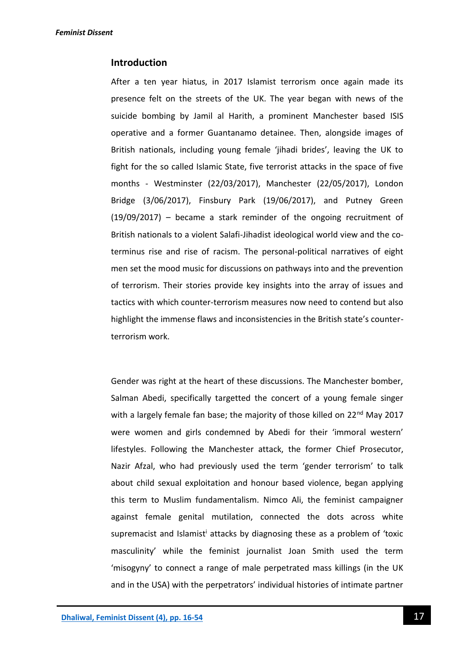### **Introduction**

After a ten year hiatus, in 2017 Islamist terrorism once again made its presence felt on the streets of the UK. The year began with news of the suicide bombing by Jamil al Harith, a prominent Manchester based ISIS operative and a former Guantanamo detainee. Then, alongside images of British nationals, including young female 'jihadi brides', leaving the UK to fight for the so called Islamic State, five terrorist attacks in the space of five months - Westminster (22/03/2017), Manchester (22/05/2017), London Bridge (3/06/2017), Finsbury Park (19/06/2017), and Putney Green (19/09/2017) – became a stark reminder of the ongoing recruitment of British nationals to a violent Salafi-Jihadist ideological world view and the coterminus rise and rise of racism. The personal-political narratives of eight men set the mood music for discussions on pathways into and the prevention of terrorism. Their stories provide key insights into the array of issues and tactics with which counter-terrorism measures now need to contend but also highlight the immense flaws and inconsistencies in the British state's counterterrorism work.

Gender was right at the heart of these discussions. The Manchester bomber, Salman Abedi, specifically targetted the concert of a young female singer with a largely female fan base; the majority of those killed on 22<sup>nd</sup> May 2017 were women and girls condemned by Abedi for their 'immoral western' lifestyles. Following the Manchester attack, the former Chief Prosecutor, Nazir Afzal, who had previously used the term 'gender terrorism' to talk about child sexual exploitation and honour based violence, began applying this term to Muslim fundamentalism. Nimco Ali, the feminist campaigner against female genital mutilation, connected the dots across white supremacist and Islamist<sup>i</sup> attacks by diagnosing these as a problem of 'toxic masculinity' while the feminist journalist Joan Smith used the term 'misogyny' to connect a range of male perpetrated mass killings (in the UK and in the USA) with the perpetrators' individual histories of intimate partner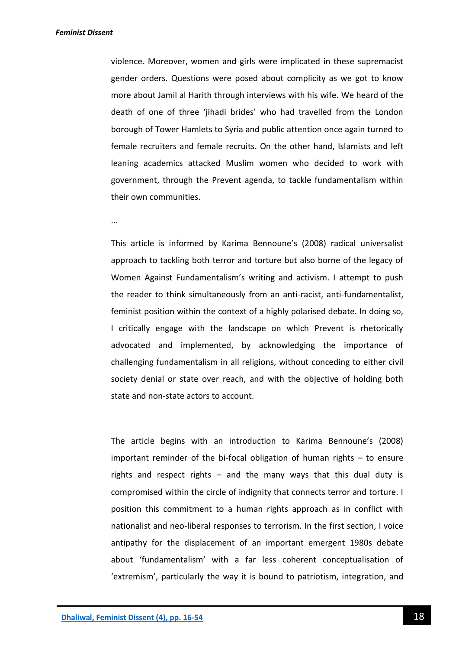violence. Moreover, women and girls were implicated in these supremacist gender orders. Questions were posed about complicity as we got to know more about Jamil al Harith through interviews with his wife. We heard of the death of one of three 'jihadi brides' who had travelled from the London borough of Tower Hamlets to Syria and public attention once again turned to female recruiters and female recruits. On the other hand, Islamists and left leaning academics attacked Muslim women who decided to work with government, through the Prevent agenda, to tackle fundamentalism within their own communities.

...

This article is informed by Karima Bennoune's (2008) radical universalist approach to tackling both terror and torture but also borne of the legacy of Women Against Fundamentalism's writing and activism. I attempt to push the reader to think simultaneously from an anti-racist, anti-fundamentalist, feminist position within the context of a highly polarised debate. In doing so, I critically engage with the landscape on which Prevent is rhetorically advocated and implemented, by acknowledging the importance of challenging fundamentalism in all religions, without conceding to either civil society denial or state over reach, and with the objective of holding both state and non-state actors to account.

The article begins with an introduction to Karima Bennoune's (2008) important reminder of the bi-focal obligation of human rights – to ensure rights and respect rights  $-$  and the many ways that this dual duty is compromised within the circle of indignity that connects terror and torture. I position this commitment to a human rights approach as in conflict with nationalist and neo-liberal responses to terrorism. In the first section, I voice antipathy for the displacement of an important emergent 1980s debate about 'fundamentalism' with a far less coherent conceptualisation of 'extremism', particularly the way it is bound to patriotism, integration, and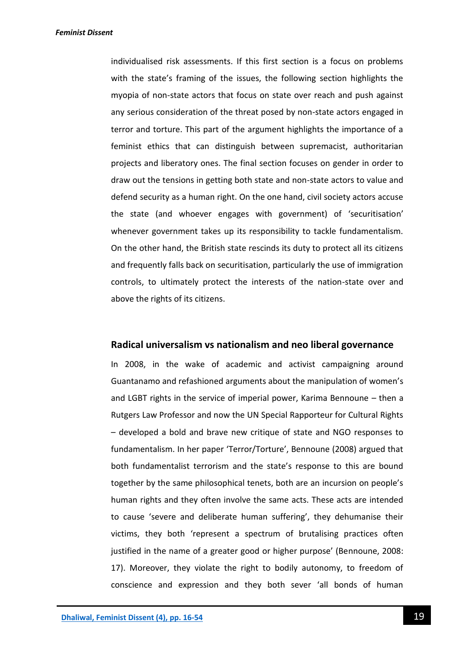individualised risk assessments. If this first section is a focus on problems with the state's framing of the issues, the following section highlights the myopia of non-state actors that focus on state over reach and push against any serious consideration of the threat posed by non-state actors engaged in terror and torture. This part of the argument highlights the importance of a feminist ethics that can distinguish between supremacist, authoritarian projects and liberatory ones. The final section focuses on gender in order to draw out the tensions in getting both state and non-state actors to value and defend security as a human right. On the one hand, civil society actors accuse the state (and whoever engages with government) of 'securitisation' whenever government takes up its responsibility to tackle fundamentalism. On the other hand, the British state rescinds its duty to protect all its citizens and frequently falls back on securitisation, particularly the use of immigration controls, to ultimately protect the interests of the nation-state over and above the rights of its citizens.

### **Radical universalism vs nationalism and neo liberal governance**

In 2008, in the wake of academic and activist campaigning around Guantanamo and refashioned arguments about the manipulation of women's and LGBT rights in the service of imperial power, Karima Bennoune – then a Rutgers Law Professor and now the UN Special Rapporteur for Cultural Rights – developed a bold and brave new critique of state and NGO responses to fundamentalism. In her paper 'Terror/Torture', Bennoune (2008) argued that both fundamentalist terrorism and the state's response to this are bound together by the same philosophical tenets, both are an incursion on people's human rights and they often involve the same acts. These acts are intended to cause 'severe and deliberate human suffering', they dehumanise their victims, they both 'represent a spectrum of brutalising practices often justified in the name of a greater good or higher purpose' (Bennoune, 2008: 17). Moreover, they violate the right to bodily autonomy, to freedom of conscience and expression and they both sever 'all bonds of human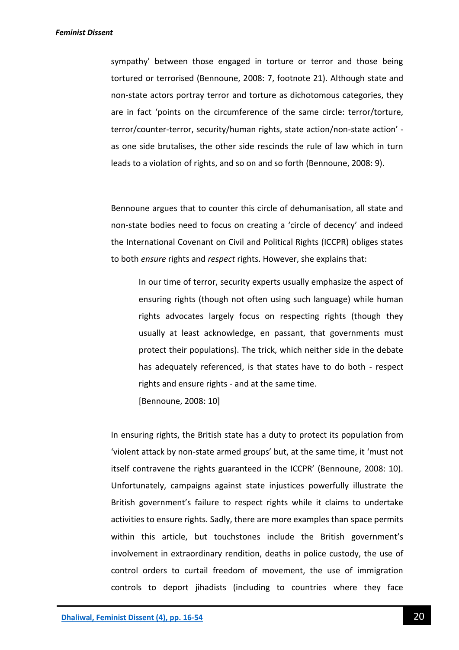sympathy' between those engaged in torture or terror and those being tortured or terrorised (Bennoune, 2008: 7, footnote 21). Although state and non-state actors portray terror and torture as dichotomous categories, they are in fact 'points on the circumference of the same circle: terror/torture, terror/counter-terror, security/human rights, state action/non-state action' as one side brutalises, the other side rescinds the rule of law which in turn leads to a violation of rights, and so on and so forth (Bennoune, 2008: 9).

Bennoune argues that to counter this circle of dehumanisation, all state and non-state bodies need to focus on creating a 'circle of decency' and indeed the International Covenant on Civil and Political Rights (ICCPR) obliges states to both *ensure* rights and *respect* rights. However, she explains that:

In our time of terror, security experts usually emphasize the aspect of ensuring rights (though not often using such language) while human rights advocates largely focus on respecting rights (though they usually at least acknowledge, en passant, that governments must protect their populations). The trick, which neither side in the debate has adequately referenced, is that states have to do both - respect rights and ensure rights - and at the same time.

[Bennoune, 2008: 10]

In ensuring rights, the British state has a duty to protect its population from 'violent attack by non-state armed groups' but, at the same time, it 'must not itself contravene the rights guaranteed in the ICCPR' (Bennoune, 2008: 10). Unfortunately, campaigns against state injustices powerfully illustrate the British government's failure to respect rights while it claims to undertake activities to ensure rights. Sadly, there are more examples than space permits within this article, but touchstones include the British government's involvement in extraordinary rendition, deaths in police custody, the use of control orders to curtail freedom of movement, the use of immigration controls to deport jihadists (including to countries where they face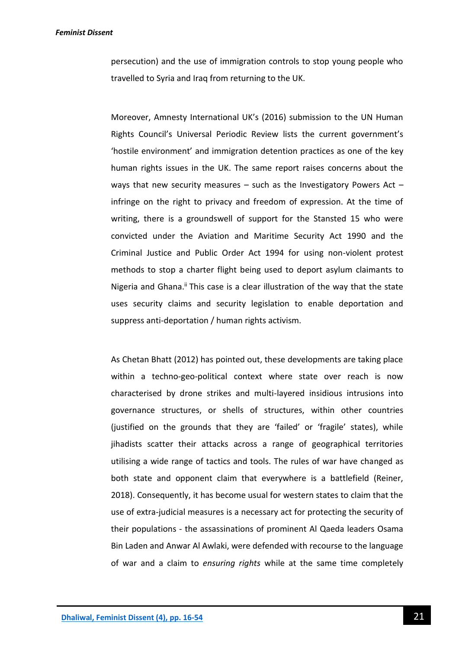persecution) and the use of immigration controls to stop young people who travelled to Syria and Iraq from returning to the UK.

Moreover, Amnesty International UK's (2016) submission to the UN Human Rights Council's Universal Periodic Review lists the current government's 'hostile environment' and immigration detention practices as one of the key human rights issues in the UK. The same report raises concerns about the ways that new security measures  $-$  such as the Investigatory Powers Act  $$ infringe on the right to privacy and freedom of expression. At the time of writing, there is a groundswell of support for the Stansted 15 who were convicted under the Aviation and Maritime Security Act 1990 and the Criminal Justice and Public Order Act 1994 for using non-violent protest methods to stop a charter flight being used to deport asylum claimants to Nigeria and Ghana.<sup>ii</sup> This case is a clear illustration of the way that the state uses security claims and security legislation to enable deportation and suppress anti-deportation / human rights activism.

As Chetan Bhatt (2012) has pointed out, these developments are taking place within a techno-geo-political context where state over reach is now characterised by drone strikes and multi-layered insidious intrusions into governance structures, or shells of structures, within other countries (justified on the grounds that they are 'failed' or 'fragile' states), while jihadists scatter their attacks across a range of geographical territories utilising a wide range of tactics and tools. The rules of war have changed as both state and opponent claim that everywhere is a battlefield (Reiner, 2018). Consequently, it has become usual for western states to claim that the use of extra-judicial measures is a necessary act for protecting the security of their populations - the assassinations of prominent Al Qaeda leaders Osama Bin Laden and Anwar Al Awlaki, were defended with recourse to the language of war and a claim to *ensuring rights* while at the same time completely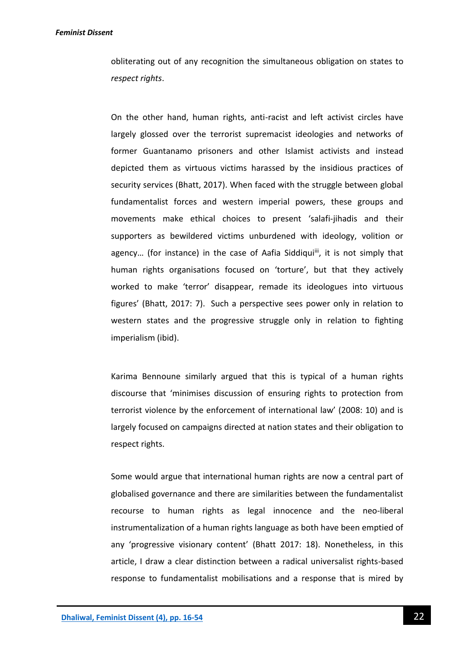obliterating out of any recognition the simultaneous obligation on states to *respect rights*.

On the other hand, human rights, anti-racist and left activist circles have largely glossed over the terrorist supremacist ideologies and networks of former Guantanamo prisoners and other Islamist activists and instead depicted them as virtuous victims harassed by the insidious practices of security services (Bhatt, 2017). When faced with the struggle between global fundamentalist forces and western imperial powers, these groups and movements make ethical choices to present 'salafi-jihadis and their supporters as bewildered victims unburdened with ideology, volition or agency... (for instance) in the case of Aafia Siddiqui<sup>iii</sup>, it is not simply that human rights organisations focused on 'torture', but that they actively worked to make 'terror' disappear, remade its ideologues into virtuous figures' (Bhatt, 2017: 7). Such a perspective sees power only in relation to western states and the progressive struggle only in relation to fighting imperialism (ibid).

Karima Bennoune similarly argued that this is typical of a human rights discourse that 'minimises discussion of ensuring rights to protection from terrorist violence by the enforcement of international law' (2008: 10) and is largely focused on campaigns directed at nation states and their obligation to respect rights.

Some would argue that international human rights are now a central part of globalised governance and there are similarities between the fundamentalist recourse to human rights as legal innocence and the neo-liberal instrumentalization of a human rights language as both have been emptied of any 'progressive visionary content' (Bhatt 2017: 18). Nonetheless, in this article, I draw a clear distinction between a radical universalist rights-based response to fundamentalist mobilisations and a response that is mired by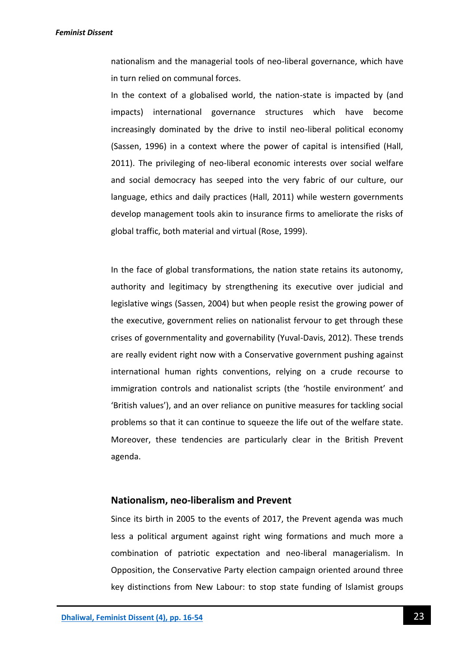nationalism and the managerial tools of neo-liberal governance, which have in turn relied on communal forces.

In the context of a globalised world, the nation-state is impacted by (and impacts) international governance structures which have become increasingly dominated by the drive to instil neo-liberal political economy (Sassen, 1996) in a context where the power of capital is intensified (Hall, 2011). The privileging of neo-liberal economic interests over social welfare and social democracy has seeped into the very fabric of our culture, our language, ethics and daily practices (Hall, 2011) while western governments develop management tools akin to insurance firms to ameliorate the risks of global traffic, both material and virtual (Rose, 1999).

In the face of global transformations, the nation state retains its autonomy, authority and legitimacy by strengthening its executive over judicial and legislative wings (Sassen, 2004) but when people resist the growing power of the executive, government relies on nationalist fervour to get through these crises of governmentality and governability (Yuval-Davis, 2012). These trends are really evident right now with a Conservative government pushing against international human rights conventions, relying on a crude recourse to immigration controls and nationalist scripts (the 'hostile environment' and 'British values'), and an over reliance on punitive measures for tackling social problems so that it can continue to squeeze the life out of the welfare state. Moreover, these tendencies are particularly clear in the British Prevent agenda.

### **Nationalism, neo-liberalism and Prevent**

Since its birth in 2005 to the events of 2017, the Prevent agenda was much less a political argument against right wing formations and much more a combination of patriotic expectation and neo-liberal managerialism. In Opposition, the Conservative Party election campaign oriented around three key distinctions from New Labour: to stop state funding of Islamist groups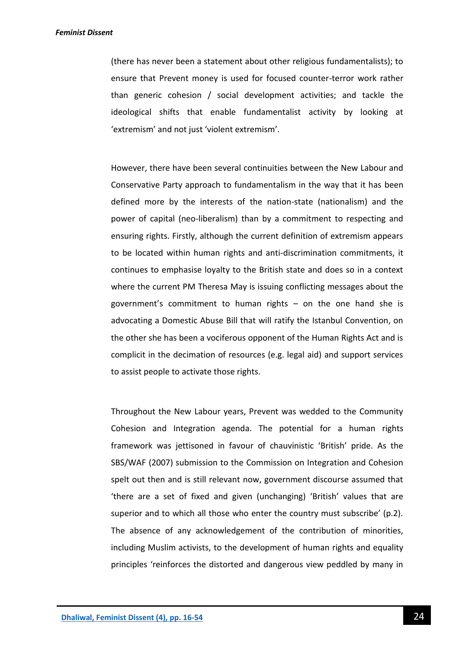(there has never been a statement about other religious fundamentalists); to ensure that Prevent money is used for focused counter-terror work rather than generic cohesion / social development activities; and tackle the ideological shifts that enable fundamentalist activity by looking at 'extremism' and not just 'violent extremism'.

However, there have been several continuities between the New Labour and Conservative Party approach to fundamentalism in the way that it has been defined more by the interests of the nation-state (nationalism) and the power of capital (neo-liberalism) than by a commitment to respecting and ensuring rights. Firstly, although the current definition of extremism appears to be located within human rights and anti-discrimination commitments, it continues to emphasise loyalty to the British state and does so in a context where the current PM Theresa May is issuing conflicting messages about the government's commitment to human rights – on the one hand she is advocating a Domestic Abuse Bill that will ratify the Istanbul Convention, on the other she has been a vociferous opponent of the Human Rights Act and is complicit in the decimation of resources (e.g. legal aid) and support services to assist people to activate those rights.

Throughout the New Labour years, Prevent was wedded to the Community Cohesion and Integration agenda. The potential for a human rights framework was jettisoned in favour of chauvinistic 'British' pride. As the SBS/WAF (2007) submission to the Commission on Integration and Cohesion spelt out then and is still relevant now, government discourse assumed that 'there are a set of fixed and given (unchanging) 'British' values that are superior and to which all those who enter the country must subscribe' (p.2). The absence of any acknowledgement of the contribution of minorities, including Muslim activists, to the development of human rights and equality principles 'reinforces the distorted and dangerous view peddled by many in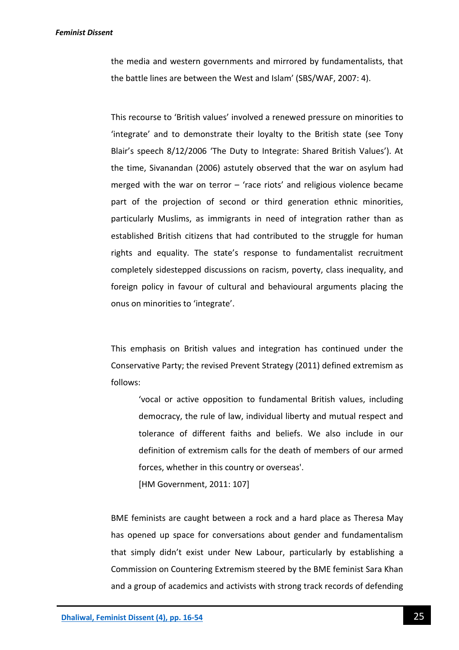the media and western governments and mirrored by fundamentalists, that the battle lines are between the West and Islam' (SBS/WAF, 2007: 4).

This recourse to 'British values' involved a renewed pressure on minorities to 'integrate' and to demonstrate their loyalty to the British state (see Tony Blair's speech 8/12/2006 'The Duty to Integrate: Shared British Values'). At the time, Sivanandan (2006) astutely observed that the war on asylum had merged with the war on terror  $-$  'race riots' and religious violence became part of the projection of second or third generation ethnic minorities, particularly Muslims, as immigrants in need of integration rather than as established British citizens that had contributed to the struggle for human rights and equality. The state's response to fundamentalist recruitment completely sidestepped discussions on racism, poverty, class inequality, and foreign policy in favour of cultural and behavioural arguments placing the onus on minorities to 'integrate'.

This emphasis on British values and integration has continued under the Conservative Party; the revised Prevent Strategy (2011) defined extremism as follows:

'vocal or active opposition to fundamental British values, including democracy, the rule of law, individual liberty and mutual respect and tolerance of different faiths and beliefs. We also include in our definition of extremism calls for the death of members of our armed forces, whether in this country or overseas'.

[HM Government, 2011: 107]

BME feminists are caught between a rock and a hard place as Theresa May has opened up space for conversations about gender and fundamentalism that simply didn't exist under New Labour, particularly by establishing a Commission on Countering Extremism steered by the BME feminist Sara Khan and a group of academics and activists with strong track records of defending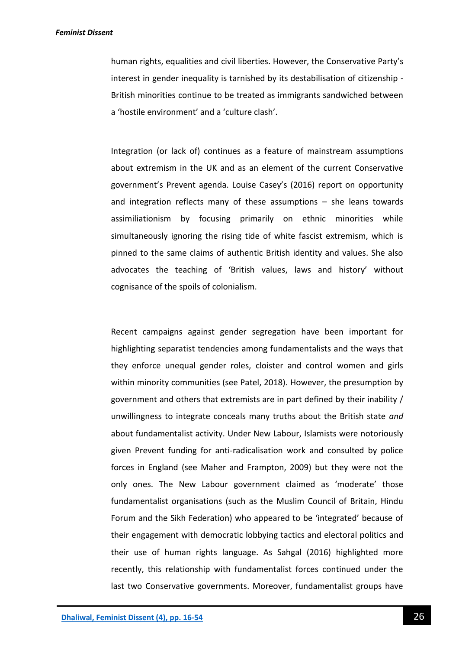human rights, equalities and civil liberties. However, the Conservative Party's interest in gender inequality is tarnished by its destabilisation of citizenship - British minorities continue to be treated as immigrants sandwiched between a 'hostile environment' and a 'culture clash'.

Integration (or lack of) continues as a feature of mainstream assumptions about extremism in the UK and as an element of the current Conservative government's Prevent agenda. Louise Casey's (2016) report on opportunity and integration reflects many of these assumptions – she leans towards assimiliationism by focusing primarily on ethnic minorities while simultaneously ignoring the rising tide of white fascist extremism, which is pinned to the same claims of authentic British identity and values. She also advocates the teaching of 'British values, laws and history' without cognisance of the spoils of colonialism.

Recent campaigns against gender segregation have been important for highlighting separatist tendencies among fundamentalists and the ways that they enforce unequal gender roles, cloister and control women and girls within minority communities (see Patel, 2018). However, the presumption by government and others that extremists are in part defined by their inability / unwillingness to integrate conceals many truths about the British state *and* about fundamentalist activity. Under New Labour, Islamists were notoriously given Prevent funding for anti-radicalisation work and consulted by police forces in England (see Maher and Frampton, 2009) but they were not the only ones. The New Labour government claimed as 'moderate' those fundamentalist organisations (such as the Muslim Council of Britain, Hindu Forum and the Sikh Federation) who appeared to be 'integrated' because of their engagement with democratic lobbying tactics and electoral politics and their use of human rights language. As Sahgal (2016) highlighted more recently, this relationship with fundamentalist forces continued under the last two Conservative governments. Moreover, fundamentalist groups have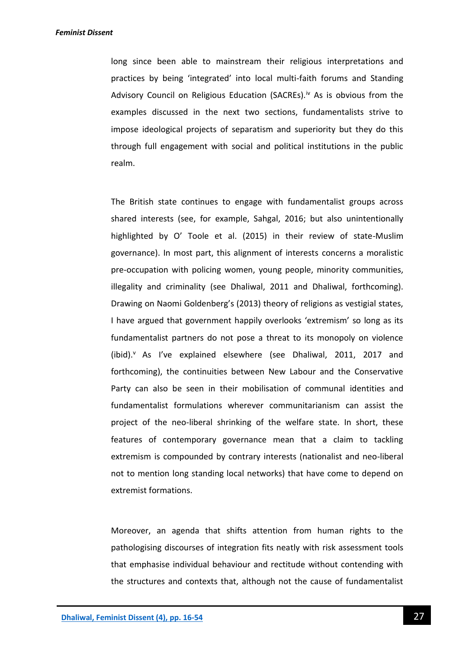long since been able to mainstream their religious interpretations and practices by being 'integrated' into local multi-faith forums and Standing Advisory Council on Religious Education (SACREs).<sup>iv</sup> As is obvious from the examples discussed in the next two sections, fundamentalists strive to impose ideological projects of separatism and superiority but they do this through full engagement with social and political institutions in the public realm.

The British state continues to engage with fundamentalist groups across shared interests (see, for example, Sahgal, 2016; but also unintentionally highlighted by O' Toole et al. (2015) in their review of state-Muslim governance). In most part, this alignment of interests concerns a moralistic pre-occupation with policing women, young people, minority communities, illegality and criminality (see Dhaliwal, 2011 and Dhaliwal, forthcoming). Drawing on Naomi Goldenberg's (2013) theory of religions as vestigial states, I have argued that government happily overlooks 'extremism' so long as its fundamentalist partners do not pose a threat to its monopoly on violence (ibid).<sup>v</sup> As I've explained elsewhere (see Dhaliwal, 2011, 2017 and forthcoming), the continuities between New Labour and the Conservative Party can also be seen in their mobilisation of communal identities and fundamentalist formulations wherever communitarianism can assist the project of the neo-liberal shrinking of the welfare state. In short, these features of contemporary governance mean that a claim to tackling extremism is compounded by contrary interests (nationalist and neo-liberal not to mention long standing local networks) that have come to depend on extremist formations.

Moreover, an agenda that shifts attention from human rights to the pathologising discourses of integration fits neatly with risk assessment tools that emphasise individual behaviour and rectitude without contending with the structures and contexts that, although not the cause of fundamentalist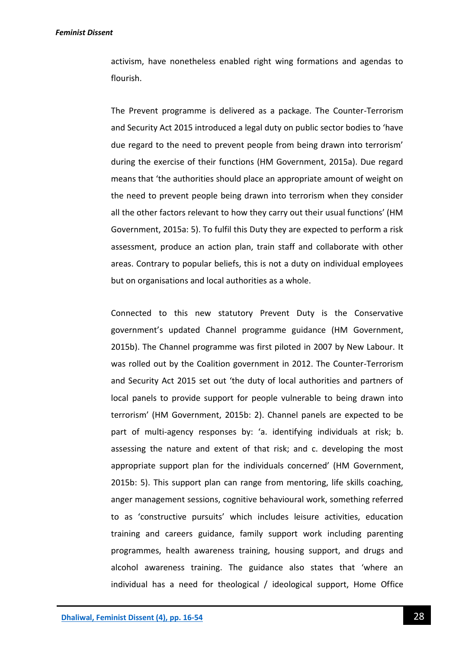#### *Feminist Dissent*

activism, have nonetheless enabled right wing formations and agendas to flourish.

The Prevent programme is delivered as a package. The Counter-Terrorism and Security Act 2015 introduced a legal duty on public sector bodies to 'have due regard to the need to prevent people from being drawn into terrorism' during the exercise of their functions (HM Government, 2015a). Due regard means that 'the authorities should place an appropriate amount of weight on the need to prevent people being drawn into terrorism when they consider all the other factors relevant to how they carry out their usual functions' (HM Government, 2015a: 5). To fulfil this Duty they are expected to perform a risk assessment, produce an action plan, train staff and collaborate with other areas. Contrary to popular beliefs, this is not a duty on individual employees but on organisations and local authorities as a whole.

Connected to this new statutory Prevent Duty is the Conservative government's updated Channel programme guidance (HM Government, 2015b). The Channel programme was first piloted in 2007 by New Labour. It was rolled out by the Coalition government in 2012. The Counter-Terrorism and Security Act 2015 set out 'the duty of local authorities and partners of local panels to provide support for people vulnerable to being drawn into terrorism' (HM Government, 2015b: 2). Channel panels are expected to be part of multi-agency responses by: 'a. identifying individuals at risk; b. assessing the nature and extent of that risk; and c. developing the most appropriate support plan for the individuals concerned' (HM Government, 2015b: 5). This support plan can range from mentoring, life skills coaching, anger management sessions, cognitive behavioural work, something referred to as 'constructive pursuits' which includes leisure activities, education training and careers guidance, family support work including parenting programmes, health awareness training, housing support, and drugs and alcohol awareness training. The guidance also states that 'where an individual has a need for theological / ideological support, Home Office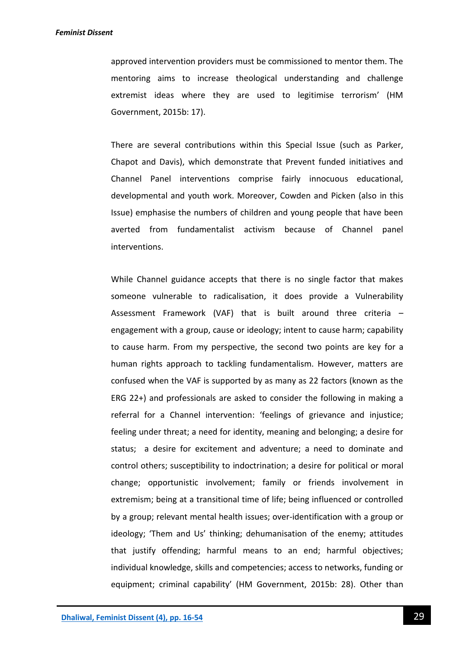approved intervention providers must be commissioned to mentor them. The mentoring aims to increase theological understanding and challenge extremist ideas where they are used to legitimise terrorism' (HM Government, 2015b: 17).

There are several contributions within this Special Issue (such as Parker, Chapot and Davis), which demonstrate that Prevent funded initiatives and Channel Panel interventions comprise fairly innocuous educational, developmental and youth work. Moreover, Cowden and Picken (also in this Issue) emphasise the numbers of children and young people that have been averted from fundamentalist activism because of Channel panel interventions.

While Channel guidance accepts that there is no single factor that makes someone vulnerable to radicalisation, it does provide a Vulnerability Assessment Framework (VAF) that is built around three criteria – engagement with a group, cause or ideology; intent to cause harm; capability to cause harm. From my perspective, the second two points are key for a human rights approach to tackling fundamentalism. However, matters are confused when the VAF is supported by as many as 22 factors (known as the ERG 22+) and professionals are asked to consider the following in making a referral for a Channel intervention: 'feelings of grievance and injustice; feeling under threat; a need for identity, meaning and belonging; a desire for status; a desire for excitement and adventure; a need to dominate and control others; susceptibility to indoctrination; a desire for political or moral change; opportunistic involvement; family or friends involvement in extremism; being at a transitional time of life; being influenced or controlled by a group; relevant mental health issues; over-identification with a group or ideology; 'Them and Us' thinking; dehumanisation of the enemy; attitudes that justify offending; harmful means to an end; harmful objectives; individual knowledge, skills and competencies; access to networks, funding or equipment; criminal capability' (HM Government, 2015b: 28). Other than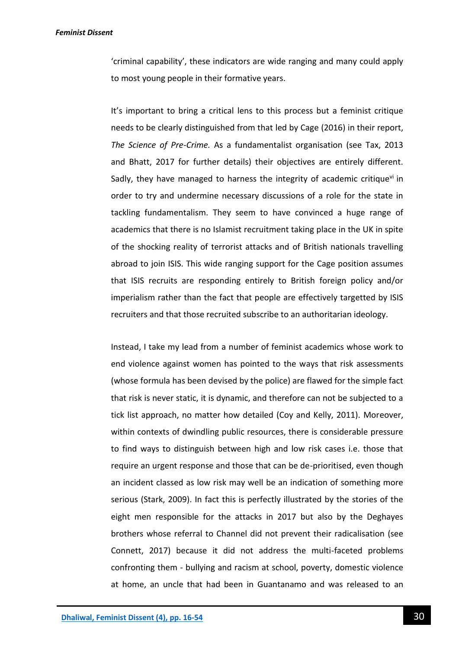'criminal capability', these indicators are wide ranging and many could apply to most young people in their formative years.

It's important to bring a critical lens to this process but a feminist critique needs to be clearly distinguished from that led by Cage (2016) in their report, *The Science of Pre-Crime.* As a fundamentalist organisation (see Tax, 2013 and Bhatt, 2017 for further details) their objectives are entirely different. Sadly, they have managed to harness the integrity of academic critique $v<sup>i</sup>$  in order to try and undermine necessary discussions of a role for the state in tackling fundamentalism. They seem to have convinced a huge range of academics that there is no Islamist recruitment taking place in the UK in spite of the shocking reality of terrorist attacks and of British nationals travelling abroad to join ISIS. This wide ranging support for the Cage position assumes that ISIS recruits are responding entirely to British foreign policy and/or imperialism rather than the fact that people are effectively targetted by ISIS recruiters and that those recruited subscribe to an authoritarian ideology.

Instead, I take my lead from a number of feminist academics whose work to end violence against women has pointed to the ways that risk assessments (whose formula has been devised by the police) are flawed for the simple fact that risk is never static, it is dynamic, and therefore can not be subjected to a tick list approach, no matter how detailed (Coy and Kelly, 2011). Moreover, within contexts of dwindling public resources, there is considerable pressure to find ways to distinguish between high and low risk cases i.e. those that require an urgent response and those that can be de-prioritised, even though an incident classed as low risk may well be an indication of something more serious (Stark, 2009). In fact this is perfectly illustrated by the stories of the eight men responsible for the attacks in 2017 but also by the Deghayes brothers whose referral to Channel did not prevent their radicalisation (see Connett, 2017) because it did not address the multi-faceted problems confronting them - bullying and racism at school, poverty, domestic violence at home, an uncle that had been in Guantanamo and was released to an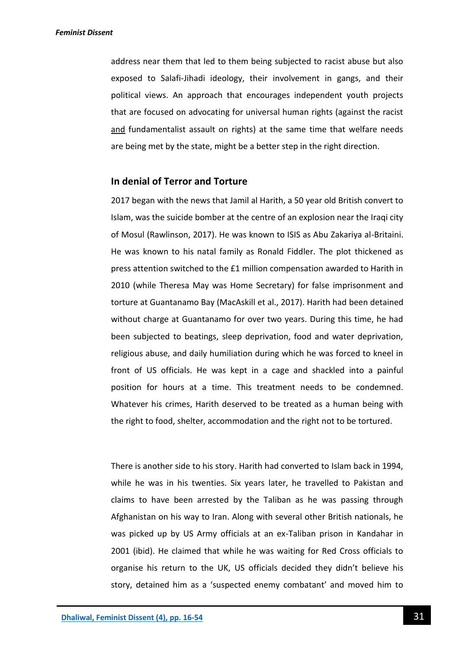address near them that led to them being subjected to racist abuse but also exposed to Salafi-Jihadi ideology, their involvement in gangs, and their political views. An approach that encourages independent youth projects that are focused on advocating for universal human rights (against the racist and fundamentalist assault on rights) at the same time that welfare needs are being met by the state, might be a better step in the right direction.

### **In denial of Terror and Torture**

2017 began with the news that Jamil al Harith, a 50 year old British convert to Islam, was the suicide bomber at the centre of an explosion near the Iraqi city of Mosul (Rawlinson, 2017). He was known to ISIS as Abu Zakariya al-Britaini. He was known to his natal family as Ronald Fiddler. The plot thickened as press attention switched to the £1 million compensation awarded to Harith in 2010 (while Theresa May was Home Secretary) for false imprisonment and torture at Guantanamo Bay (MacAskill et al., 2017). Harith had been detained without charge at Guantanamo for over two years. During this time, he had been subjected to beatings, sleep deprivation, food and water deprivation, religious abuse, and daily humiliation during which he was forced to kneel in front of US officials. He was kept in a cage and shackled into a painful position for hours at a time. This treatment needs to be condemned. Whatever his crimes, Harith deserved to be treated as a human being with the right to food, shelter, accommodation and the right not to be tortured.

There is another side to his story. Harith had converted to Islam back in 1994, while he was in his twenties. Six years later, he travelled to Pakistan and claims to have been arrested by the Taliban as he was passing through Afghanistan on his way to Iran. Along with several other British nationals, he was picked up by US Army officials at an ex-Taliban prison in Kandahar in 2001 (ibid). He claimed that while he was waiting for Red Cross officials to organise his return to the UK, US officials decided they didn't believe his story, detained him as a 'suspected enemy combatant' and moved him to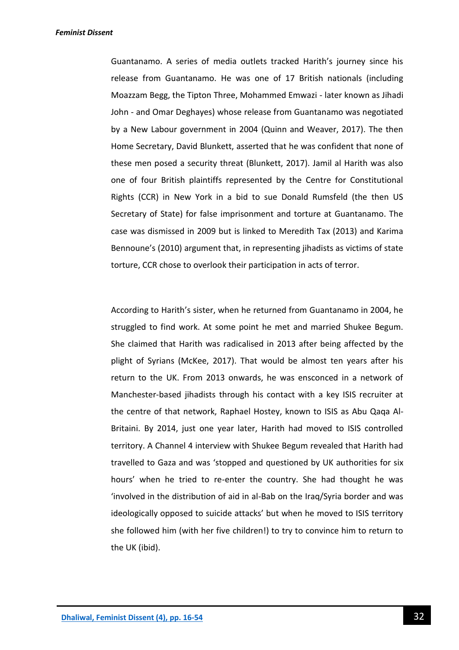Guantanamo. A series of media outlets tracked Harith's journey since his release from Guantanamo. He was one of 17 British nationals (including Moazzam Begg, the Tipton Three, Mohammed Emwazi - later known as Jihadi John - and Omar Deghayes) whose release from Guantanamo was negotiated by a New Labour government in 2004 (Quinn and Weaver, 2017). The then Home Secretary, David Blunkett, asserted that he was confident that none of these men posed a security threat (Blunkett, 2017). Jamil al Harith was also one of four British plaintiffs represented by the Centre for Constitutional Rights (CCR) in New York in a bid to sue Donald Rumsfeld (the then US Secretary of State) for false imprisonment and torture at Guantanamo. The case was dismissed in 2009 but is linked to Meredith Tax (2013) and Karima Bennoune's (2010) argument that, in representing jihadists as victims of state torture, CCR chose to overlook their participation in acts of terror.

According to Harith's sister, when he returned from Guantanamo in 2004, he struggled to find work. At some point he met and married Shukee Begum. She claimed that Harith was radicalised in 2013 after being affected by the plight of Syrians (McKee, 2017). That would be almost ten years after his return to the UK. From 2013 onwards, he was ensconced in a network of Manchester-based jihadists through his contact with a key ISIS recruiter at the centre of that network, Raphael Hostey, known to ISIS as Abu Qaqa Al-Britaini. By 2014, just one year later, Harith had moved to ISIS controlled territory. A Channel 4 interview with Shukee Begum revealed that Harith had travelled to Gaza and was 'stopped and questioned by UK authorities for six hours' when he tried to re-enter the country. She had thought he was 'involved in the distribution of aid in al-Bab on the Iraq/Syria border and was ideologically opposed to suicide attacks' but when he moved to ISIS territory she followed him (with her five children!) to try to convince him to return to the UK (ibid).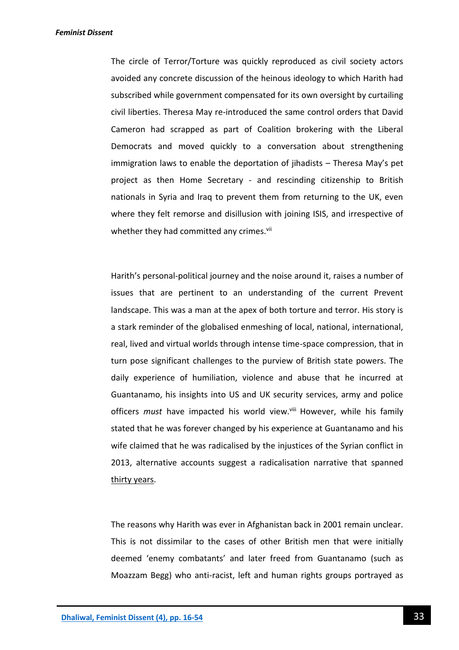The circle of Terror/Torture was quickly reproduced as civil society actors avoided any concrete discussion of the heinous ideology to which Harith had subscribed while government compensated for its own oversight by curtailing civil liberties. Theresa May re-introduced the same control orders that David Cameron had scrapped as part of Coalition brokering with the Liberal Democrats and moved quickly to a conversation about strengthening immigration laws to enable the deportation of jihadists – Theresa May's pet project as then Home Secretary - and rescinding citizenship to British nationals in Syria and Iraq to prevent them from returning to the UK, even where they felt remorse and disillusion with joining ISIS, and irrespective of whether they had committed any crimes.<sup>vii</sup>

Harith's personal-political journey and the noise around it, raises a number of issues that are pertinent to an understanding of the current Prevent landscape. This was a man at the apex of both torture and terror. His story is a stark reminder of the globalised enmeshing of local, national, international, real, lived and virtual worlds through intense time-space compression, that in turn pose significant challenges to the purview of British state powers. The daily experience of humiliation, violence and abuse that he incurred at Guantanamo, his insights into US and UK security services, army and police officers *must* have impacted his world view.<sup>viii</sup> However, while his family stated that he was forever changed by his experience at Guantanamo and his wife claimed that he was radicalised by the injustices of the Syrian conflict in 2013, alternative accounts suggest a radicalisation narrative that spanned thirty years.

The reasons why Harith was ever in Afghanistan back in 2001 remain unclear. This is not dissimilar to the cases of other British men that were initially deemed 'enemy combatants' and later freed from Guantanamo (such as Moazzam Begg) who anti-racist, left and human rights groups portrayed as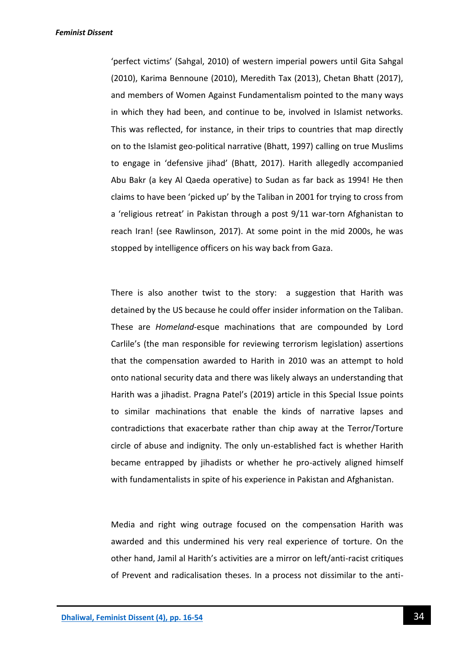'perfect victims' (Sahgal, 2010) of western imperial powers until Gita Sahgal (2010), Karima Bennoune (2010), Meredith Tax (2013), Chetan Bhatt (2017), and members of Women Against Fundamentalism pointed to the many ways in which they had been, and continue to be, involved in Islamist networks. This was reflected, for instance, in their trips to countries that map directly on to the Islamist geo-political narrative (Bhatt, 1997) calling on true Muslims to engage in 'defensive jihad' (Bhatt, 2017). Harith allegedly accompanied Abu Bakr (a key Al Qaeda operative) to Sudan as far back as 1994! He then claims to have been 'picked up' by the Taliban in 2001 for trying to cross from a 'religious retreat' in Pakistan through a post 9/11 war-torn Afghanistan to reach Iran! (see Rawlinson, 2017). At some point in the mid 2000s, he was stopped by intelligence officers on his way back from Gaza.

There is also another twist to the story: a suggestion that Harith was detained by the US because he could offer insider information on the Taliban. These are *Homeland*-esque machinations that are compounded by Lord Carlile's (the man responsible for reviewing terrorism legislation) assertions that the compensation awarded to Harith in 2010 was an attempt to hold onto national security data and there was likely always an understanding that Harith was a jihadist. Pragna Patel's (2019) article in this Special Issue points to similar machinations that enable the kinds of narrative lapses and contradictions that exacerbate rather than chip away at the Terror/Torture circle of abuse and indignity. The only un-established fact is whether Harith became entrapped by jihadists or whether he pro-actively aligned himself with fundamentalists in spite of his experience in Pakistan and Afghanistan.

Media and right wing outrage focused on the compensation Harith was awarded and this undermined his very real experience of torture. On the other hand, Jamil al Harith's activities are a mirror on left/anti-racist critiques of Prevent and radicalisation theses. In a process not dissimilar to the anti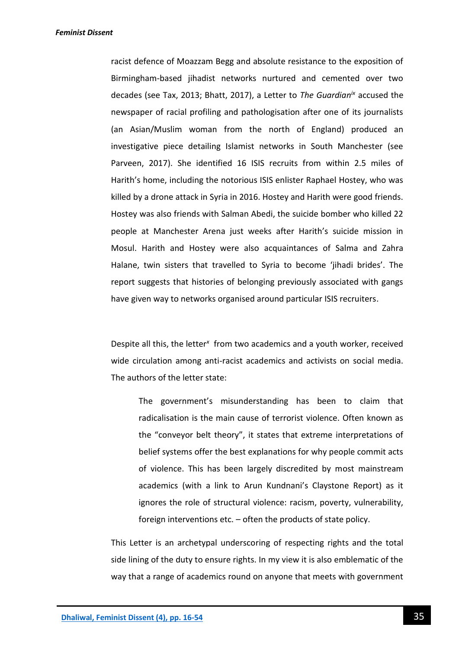racist defence of Moazzam Begg and absolute resistance to the exposition of Birmingham-based jihadist networks nurtured and cemented over two decades (see Tax, 2013; Bhatt, 2017), a Letter to *The Guardianix* accused the newspaper of racial profiling and pathologisation after one of its journalists (an Asian/Muslim woman from the north of England) produced an investigative piece detailing Islamist networks in South Manchester (see Parveen, 2017). She identified 16 ISIS recruits from within 2.5 miles of Harith's home, including the notorious ISIS enlister Raphael Hostey, who was killed by a drone attack in Syria in 2016. Hostey and Harith were good friends. Hostey was also friends with Salman Abedi, the suicide bomber who killed 22 people at Manchester Arena just weeks after Harith's suicide mission in Mosul. Harith and Hostey were also acquaintances of Salma and Zahra Halane, twin sisters that travelled to Syria to become 'jihadi brides'. The report suggests that histories of belonging previously associated with gangs have given way to networks organised around particular ISIS recruiters.

Despite all this, the letter<sup>x</sup> from two academics and a youth worker, received wide circulation among anti-racist academics and activists on social media. The authors of the letter state:

The government's misunderstanding has been to claim that radicalisation is the main cause of terrorist violence. Often known as the "conveyor belt theory", it states that extreme interpretations of belief systems offer the best explanations for why people commit acts of violence. This has been largely discredited by most mainstream academics (with a link to Arun Kundnani's Claystone Report) as it ignores the role of structural violence: racism, poverty, vulnerability, foreign interventions etc. – often the products of state policy.

This Letter is an archetypal underscoring of respecting rights and the total side lining of the duty to ensure rights. In my view it is also emblematic of the way that a range of academics round on anyone that meets with government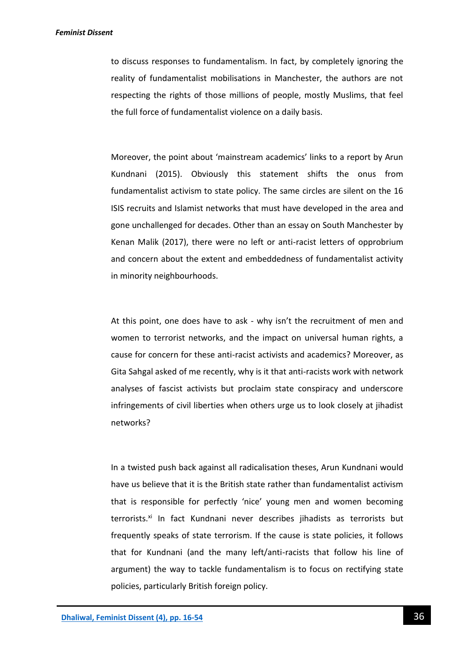to discuss responses to fundamentalism. In fact, by completely ignoring the reality of fundamentalist mobilisations in Manchester, the authors are not respecting the rights of those millions of people, mostly Muslims, that feel the full force of fundamentalist violence on a daily basis.

Moreover, the point about 'mainstream academics' links to a report by Arun Kundnani (2015). Obviously this statement shifts the onus from fundamentalist activism to state policy. The same circles are silent on the 16 ISIS recruits and Islamist networks that must have developed in the area and gone unchallenged for decades. Other than an essay on South Manchester by Kenan Malik (2017), there were no left or anti-racist letters of opprobrium and concern about the extent and embeddedness of fundamentalist activity in minority neighbourhoods.

At this point, one does have to ask - why isn't the recruitment of men and women to terrorist networks, and the impact on universal human rights, a cause for concern for these anti-racist activists and academics? Moreover, as Gita Sahgal asked of me recently, why is it that anti-racists work with network analyses of fascist activists but proclaim state conspiracy and underscore infringements of civil liberties when others urge us to look closely at jihadist networks?

In a twisted push back against all radicalisation theses, Arun Kundnani would have us believe that it is the British state rather than fundamentalist activism that is responsible for perfectly 'nice' young men and women becoming terrorists.<sup>xi</sup> In fact Kundnani never describes jihadists as terrorists but frequently speaks of state terrorism. If the cause is state policies, it follows that for Kundnani (and the many left/anti-racists that follow his line of argument) the way to tackle fundamentalism is to focus on rectifying state policies, particularly British foreign policy.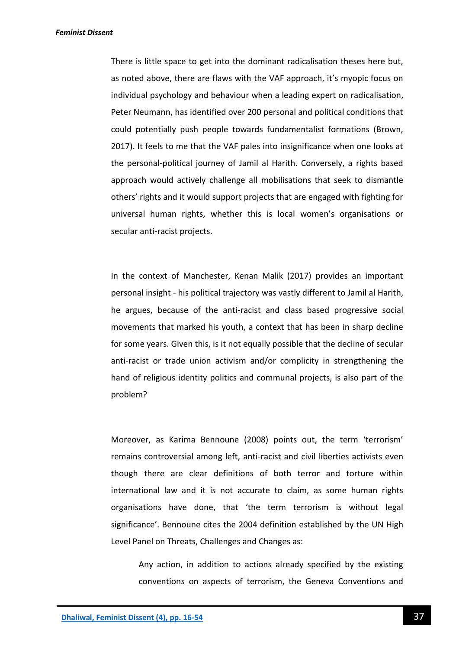*Feminist Dissent*

There is little space to get into the dominant radicalisation theses here but, as noted above, there are flaws with the VAF approach, it's myopic focus on individual psychology and behaviour when a leading expert on radicalisation, Peter Neumann, has identified over 200 personal and political conditions that could potentially push people towards fundamentalist formations (Brown, 2017). It feels to me that the VAF pales into insignificance when one looks at the personal-political journey of Jamil al Harith. Conversely, a rights based approach would actively challenge all mobilisations that seek to dismantle others' rights and it would support projects that are engaged with fighting for universal human rights, whether this is local women's organisations or secular anti-racist projects.

In the context of Manchester, Kenan Malik (2017) provides an important personal insight - his political trajectory was vastly different to Jamil al Harith, he argues, because of the anti-racist and class based progressive social movements that marked his youth, a context that has been in sharp decline for some years. Given this, is it not equally possible that the decline of secular anti-racist or trade union activism and/or complicity in strengthening the hand of religious identity politics and communal projects, is also part of the problem?

Moreover, as Karima Bennoune (2008) points out, the term 'terrorism' remains controversial among left, anti-racist and civil liberties activists even though there are clear definitions of both terror and torture within international law and it is not accurate to claim, as some human rights organisations have done, that 'the term terrorism is without legal significance'. Bennoune cites the 2004 definition established by the UN High Level Panel on Threats, Challenges and Changes as:

Any action, in addition to actions already specified by the existing conventions on aspects of terrorism, the Geneva Conventions and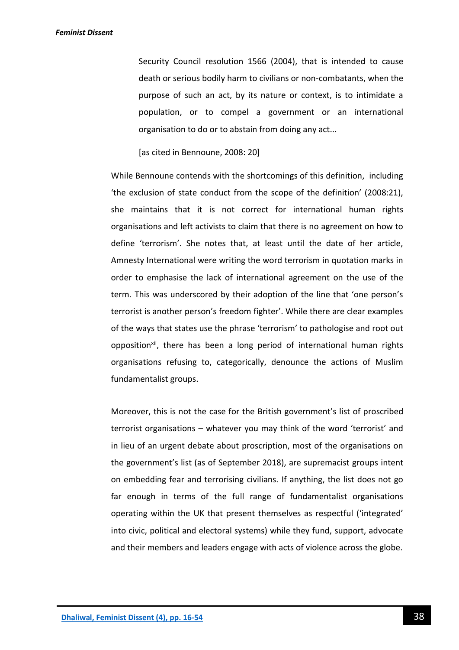Security Council resolution 1566 (2004), that is intended to cause death or serious bodily harm to civilians or non-combatants, when the purpose of such an act, by its nature or context, is to intimidate a population, or to compel a government or an international organisation to do or to abstain from doing any act...

[as cited in Bennoune, 2008: 20]

While Bennoune contends with the shortcomings of this definition, including 'the exclusion of state conduct from the scope of the definition' (2008:21), she maintains that it is not correct for international human rights organisations and left activists to claim that there is no agreement on how to define 'terrorism'. She notes that, at least until the date of her article, Amnesty International were writing the word terrorism in quotation marks in order to emphasise the lack of international agreement on the use of the term. This was underscored by their adoption of the line that 'one person's terrorist is another person's freedom fighter'. While there are clear examples of the ways that states use the phrase 'terrorism' to pathologise and root out opposition<sup>xii</sup>, there has been a long period of international human rights organisations refusing to, categorically, denounce the actions of Muslim fundamentalist groups.

Moreover, this is not the case for the British government's list of proscribed terrorist organisations – whatever you may think of the word 'terrorist' and in lieu of an urgent debate about proscription, most of the organisations on the government's list (as of September 2018), are supremacist groups intent on embedding fear and terrorising civilians. If anything, the list does not go far enough in terms of the full range of fundamentalist organisations operating within the UK that present themselves as respectful ('integrated' into civic, political and electoral systems) while they fund, support, advocate and their members and leaders engage with acts of violence across the globe.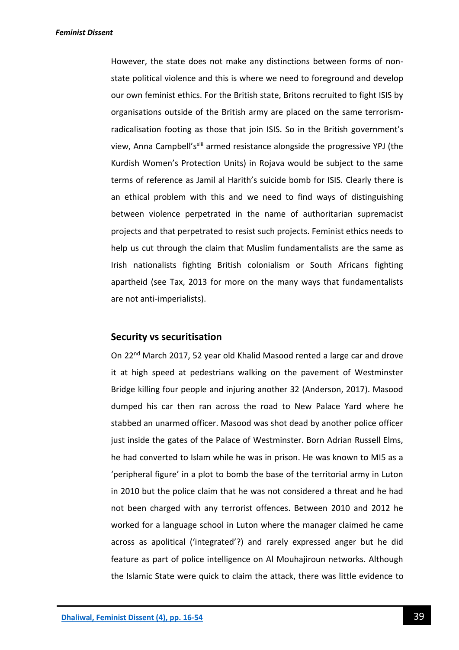However, the state does not make any distinctions between forms of nonstate political violence and this is where we need to foreground and develop our own feminist ethics. For the British state, Britons recruited to fight ISIS by organisations outside of the British army are placed on the same terrorismradicalisation footing as those that join ISIS. So in the British government's view, Anna Campbell'sxiii armed resistance alongside the progressive YPJ (the Kurdish Women's Protection Units) in Rojava would be subject to the same terms of reference as Jamil al Harith's suicide bomb for ISIS. Clearly there is an ethical problem with this and we need to find ways of distinguishing between violence perpetrated in the name of authoritarian supremacist projects and that perpetrated to resist such projects. Feminist ethics needs to help us cut through the claim that Muslim fundamentalists are the same as Irish nationalists fighting British colonialism or South Africans fighting apartheid (see Tax, 2013 for more on the many ways that fundamentalists are not anti-imperialists).

#### **Security vs securitisation**

On 22nd March 2017, 52 year old Khalid Masood rented a large car and drove it at high speed at pedestrians walking on the pavement of Westminster Bridge killing four people and injuring another 32 (Anderson, 2017). Masood dumped his car then ran across the road to New Palace Yard where he stabbed an unarmed officer. Masood was shot dead by another police officer just inside the gates of the Palace of Westminster. Born Adrian Russell Elms, he had converted to Islam while he was in prison. He was known to MI5 as a 'peripheral figure' in a plot to bomb the base of the territorial army in Luton in 2010 but the police claim that he was not considered a threat and he had not been charged with any terrorist offences. Between 2010 and 2012 he worked for a language school in Luton where the manager claimed he came across as apolitical ('integrated'?) and rarely expressed anger but he did feature as part of police intelligence on Al Mouhajiroun networks. Although the Islamic State were quick to claim the attack, there was little evidence to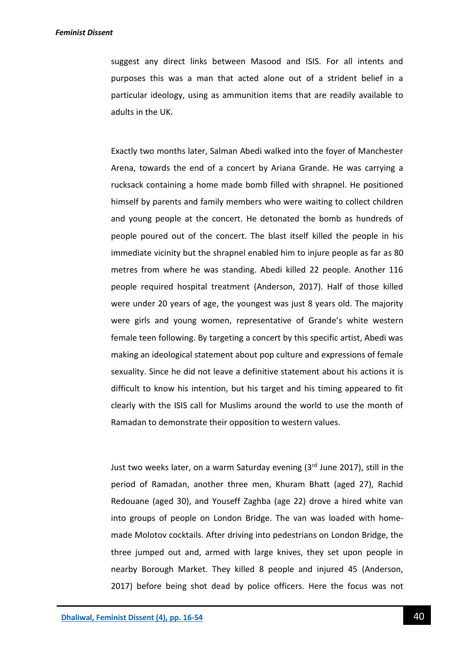suggest any direct links between Masood and ISIS. For all intents and purposes this was a man that acted alone out of a strident belief in a particular ideology, using as ammunition items that are readily available to adults in the UK.

Exactly two months later, Salman Abedi walked into the foyer of Manchester Arena, towards the end of a concert by Ariana Grande. He was carrying a rucksack containing a home made bomb filled with shrapnel. He positioned himself by parents and family members who were waiting to collect children and young people at the concert. He detonated the bomb as hundreds of people poured out of the concert. The blast itself killed the people in his immediate vicinity but the shrapnel enabled him to injure people as far as 80 metres from where he was standing. Abedi killed 22 people. Another 116 people required hospital treatment (Anderson, 2017). Half of those killed were under 20 years of age, the youngest was just 8 years old. The majority were girls and young women, representative of Grande's white western female teen following. By targeting a concert by this specific artist, Abedi was making an ideological statement about pop culture and expressions of female sexuality. Since he did not leave a definitive statement about his actions it is difficult to know his intention, but his target and his timing appeared to fit clearly with the ISIS call for Muslims around the world to use the month of Ramadan to demonstrate their opposition to western values.

Just two weeks later, on a warm Saturday evening (3rd June 2017), still in the period of Ramadan, another three men, Khuram Bhatt (aged 27), Rachid Redouane (aged 30), and Youseff Zaghba (age 22) drove a hired white van into groups of people on London Bridge. The van was loaded with homemade Molotov cocktails. After driving into pedestrians on London Bridge, the three jumped out and, armed with large knives, they set upon people in nearby Borough Market. They killed 8 people and injured 45 (Anderson, 2017) before being shot dead by police officers. Here the focus was not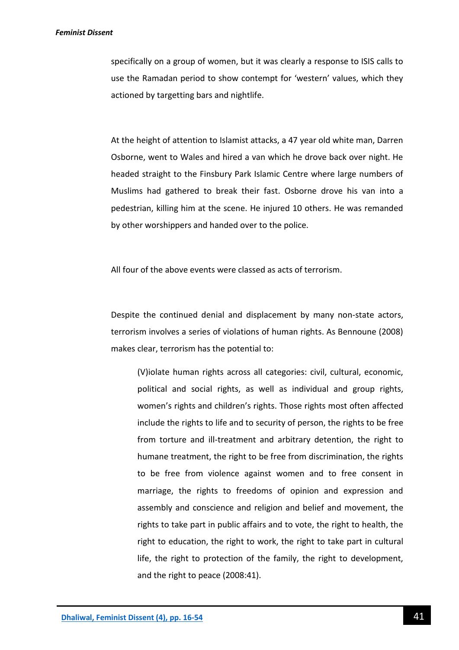#### *Feminist Dissent*

specifically on a group of women, but it was clearly a response to ISIS calls to use the Ramadan period to show contempt for 'western' values, which they actioned by targetting bars and nightlife.

At the height of attention to Islamist attacks, a 47 year old white man, Darren Osborne, went to Wales and hired a van which he drove back over night. He headed straight to the Finsbury Park Islamic Centre where large numbers of Muslims had gathered to break their fast. Osborne drove his van into a pedestrian, killing him at the scene. He injured 10 others. He was remanded by other worshippers and handed over to the police.

All four of the above events were classed as acts of terrorism.

Despite the continued denial and displacement by many non-state actors, terrorism involves a series of violations of human rights. As Bennoune (2008) makes clear, terrorism has the potential to:

(V)iolate human rights across all categories: civil, cultural, economic, political and social rights, as well as individual and group rights, women's rights and children's rights. Those rights most often affected include the rights to life and to security of person, the rights to be free from torture and ill-treatment and arbitrary detention, the right to humane treatment, the right to be free from discrimination, the rights to be free from violence against women and to free consent in marriage, the rights to freedoms of opinion and expression and assembly and conscience and religion and belief and movement, the rights to take part in public affairs and to vote, the right to health, the right to education, the right to work, the right to take part in cultural life, the right to protection of the family, the right to development, and the right to peace (2008:41).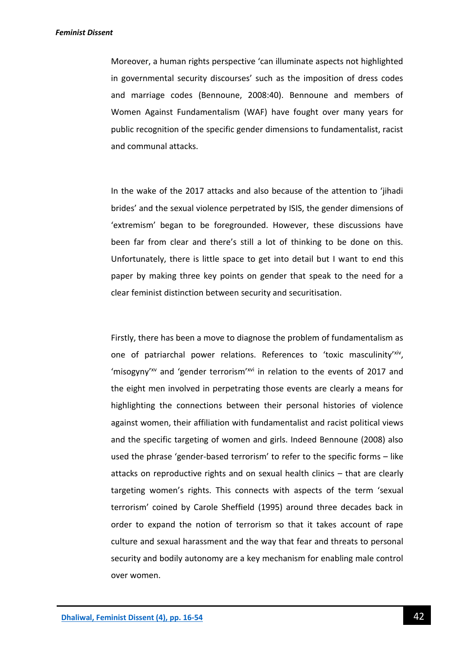Moreover, a human rights perspective 'can illuminate aspects not highlighted in governmental security discourses' such as the imposition of dress codes and marriage codes (Bennoune, 2008:40). Bennoune and members of Women Against Fundamentalism (WAF) have fought over many years for public recognition of the specific gender dimensions to fundamentalist, racist and communal attacks.

In the wake of the 2017 attacks and also because of the attention to 'jihadi brides' and the sexual violence perpetrated by ISIS, the gender dimensions of 'extremism' began to be foregrounded. However, these discussions have been far from clear and there's still a lot of thinking to be done on this. Unfortunately, there is little space to get into detail but I want to end this paper by making three key points on gender that speak to the need for a clear feminist distinction between security and securitisation.

Firstly, there has been a move to diagnose the problem of fundamentalism as one of patriarchal power relations. References to 'toxic masculinity'xiv, 'misogyny'xv and 'gender terrorism'xvi in relation to the events of 2017 and the eight men involved in perpetrating those events are clearly a means for highlighting the connections between their personal histories of violence against women, their affiliation with fundamentalist and racist political views and the specific targeting of women and girls. Indeed Bennoune (2008) also used the phrase 'gender-based terrorism' to refer to the specific forms – like attacks on reproductive rights and on sexual health clinics – that are clearly targeting women's rights. This connects with aspects of the term 'sexual terrorism' coined by Carole Sheffield (1995) around three decades back in order to expand the notion of terrorism so that it takes account of rape culture and sexual harassment and the way that fear and threats to personal security and bodily autonomy are a key mechanism for enabling male control over women.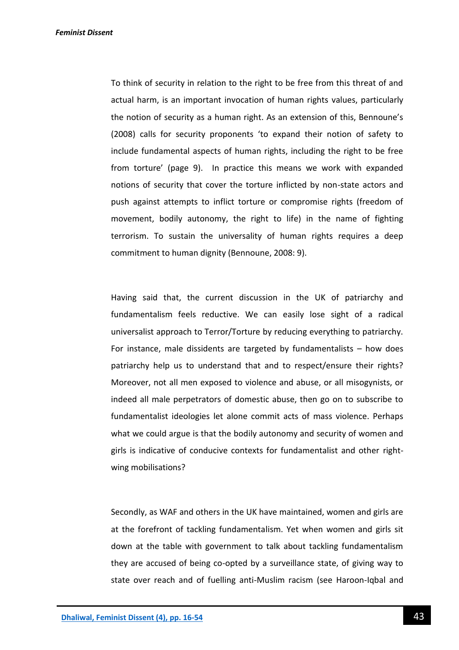To think of security in relation to the right to be free from this threat of and actual harm, is an important invocation of human rights values, particularly the notion of security as a human right. As an extension of this, Bennoune's (2008) calls for security proponents 'to expand their notion of safety to include fundamental aspects of human rights, including the right to be free from torture' (page 9). In practice this means we work with expanded notions of security that cover the torture inflicted by non-state actors and push against attempts to inflict torture or compromise rights (freedom of movement, bodily autonomy, the right to life) in the name of fighting terrorism. To sustain the universality of human rights requires a deep commitment to human dignity (Bennoune, 2008: 9).

Having said that, the current discussion in the UK of patriarchy and fundamentalism feels reductive. We can easily lose sight of a radical universalist approach to Terror/Torture by reducing everything to patriarchy. For instance, male dissidents are targeted by fundamentalists – how does patriarchy help us to understand that and to respect/ensure their rights? Moreover, not all men exposed to violence and abuse, or all misogynists, or indeed all male perpetrators of domestic abuse, then go on to subscribe to fundamentalist ideologies let alone commit acts of mass violence. Perhaps what we could argue is that the bodily autonomy and security of women and girls is indicative of conducive contexts for fundamentalist and other rightwing mobilisations?

Secondly, as WAF and others in the UK have maintained, women and girls are at the forefront of tackling fundamentalism. Yet when women and girls sit down at the table with government to talk about tackling fundamentalism they are accused of being co-opted by a surveillance state, of giving way to state over reach and of fuelling anti-Muslim racism (see Haroon-Iqbal and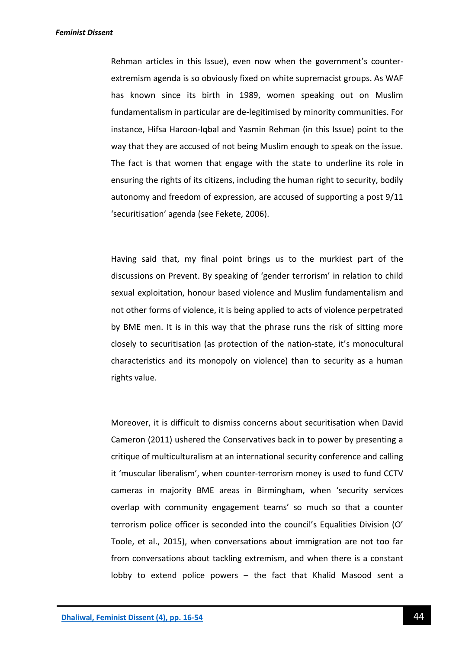Rehman articles in this Issue), even now when the government's counterextremism agenda is so obviously fixed on white supremacist groups. As WAF has known since its birth in 1989, women speaking out on Muslim fundamentalism in particular are de-legitimised by minority communities. For instance, Hifsa Haroon-Iqbal and Yasmin Rehman (in this Issue) point to the way that they are accused of not being Muslim enough to speak on the issue. The fact is that women that engage with the state to underline its role in ensuring the rights of its citizens, including the human right to security, bodily autonomy and freedom of expression, are accused of supporting a post 9/11 'securitisation' agenda (see Fekete, 2006).

Having said that, my final point brings us to the murkiest part of the discussions on Prevent. By speaking of 'gender terrorism' in relation to child sexual exploitation, honour based violence and Muslim fundamentalism and not other forms of violence, it is being applied to acts of violence perpetrated by BME men. It is in this way that the phrase runs the risk of sitting more closely to securitisation (as protection of the nation-state, it's monocultural characteristics and its monopoly on violence) than to security as a human rights value.

Moreover, it is difficult to dismiss concerns about securitisation when David Cameron (2011) ushered the Conservatives back in to power by presenting a critique of multiculturalism at an international security conference and calling it 'muscular liberalism', when counter-terrorism money is used to fund CCTV cameras in majority BME areas in Birmingham, when 'security services overlap with community engagement teams' so much so that a counter terrorism police officer is seconded into the council's Equalities Division (O' Toole, et al., 2015), when conversations about immigration are not too far from conversations about tackling extremism, and when there is a constant lobby to extend police powers – the fact that Khalid Masood sent a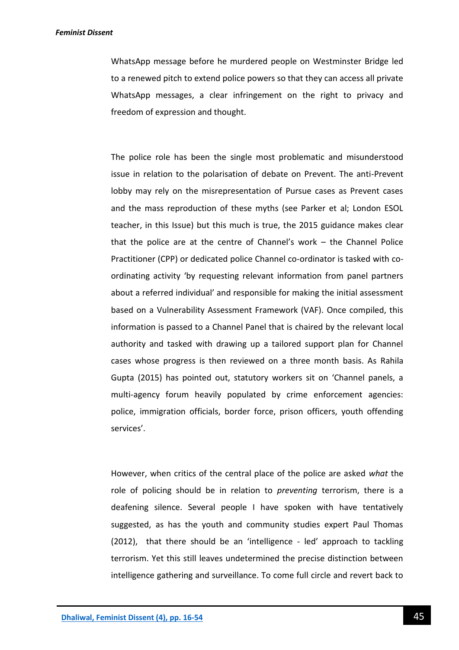WhatsApp message before he murdered people on Westminster Bridge led to a renewed pitch to extend police powers so that they can access all private WhatsApp messages, a clear infringement on the right to privacy and freedom of expression and thought.

The police role has been the single most problematic and misunderstood issue in relation to the polarisation of debate on Prevent. The anti-Prevent lobby may rely on the misrepresentation of Pursue cases as Prevent cases and the mass reproduction of these myths (see Parker et al; London ESOL teacher, in this Issue) but this much is true, the 2015 guidance makes clear that the police are at the centre of Channel's work – the Channel Police Practitioner (CPP) or dedicated police Channel co-ordinator is tasked with coordinating activity 'by requesting relevant information from panel partners about a referred individual' and responsible for making the initial assessment based on a Vulnerability Assessment Framework (VAF). Once compiled, this information is passed to a Channel Panel that is chaired by the relevant local authority and tasked with drawing up a tailored support plan for Channel cases whose progress is then reviewed on a three month basis. As Rahila Gupta (2015) has pointed out, statutory workers sit on 'Channel panels, a multi-agency forum heavily populated by crime enforcement agencies: police, immigration officials, border force, prison officers, youth offending services'.

However, when critics of the central place of the police are asked *what* the role of policing should be in relation to *preventing* terrorism, there is a deafening silence. Several people I have spoken with have tentatively suggested, as has the youth and community studies expert Paul Thomas (2012), that there should be an 'intelligence - led' approach to tackling terrorism. Yet this still leaves undetermined the precise distinction between intelligence gathering and surveillance. To come full circle and revert back to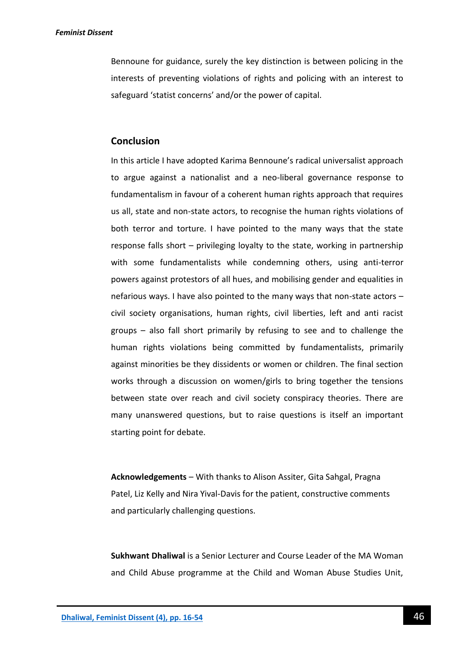Bennoune for guidance, surely the key distinction is between policing in the interests of preventing violations of rights and policing with an interest to safeguard 'statist concerns' and/or the power of capital.

## **Conclusion**

In this article I have adopted Karima Bennoune's radical universalist approach to argue against a nationalist and a neo-liberal governance response to fundamentalism in favour of a coherent human rights approach that requires us all, state and non-state actors, to recognise the human rights violations of both terror and torture. I have pointed to the many ways that the state response falls short – privileging loyalty to the state, working in partnership with some fundamentalists while condemning others, using anti-terror powers against protestors of all hues, and mobilising gender and equalities in nefarious ways. I have also pointed to the many ways that non-state actors – civil society organisations, human rights, civil liberties, left and anti racist groups – also fall short primarily by refusing to see and to challenge the human rights violations being committed by fundamentalists, primarily against minorities be they dissidents or women or children. The final section works through a discussion on women/girls to bring together the tensions between state over reach and civil society conspiracy theories. There are many unanswered questions, but to raise questions is itself an important starting point for debate.

**Acknowledgements** – With thanks to Alison Assiter, Gita Sahgal, Pragna Patel, Liz Kelly and Nira Yival-Davis for the patient, constructive comments and particularly challenging questions.

**Sukhwant Dhaliwal** is a Senior Lecturer and Course Leader of the MA Woman and Child Abuse programme at the Child and Woman Abuse Studies Unit,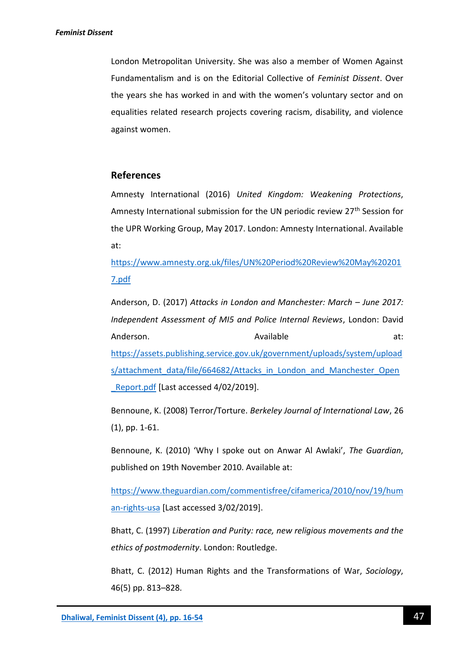London Metropolitan University. She was also a member of Women Against Fundamentalism and is on the Editorial Collective of *Feminist Dissent*. Over the years she has worked in and with the women's voluntary sector and on equalities related research projects covering racism, disability, and violence against women.

# **References**

Amnesty International (2016) *United Kingdom: Weakening Protections*, Amnesty International submission for the UN periodic review 27<sup>th</sup> Session for the UPR Working Group, May 2017. London: Amnesty International. Available at:

[https://www.amnesty.org.uk/files/UN%20Period%20Review%20May%20201](https://www.amnesty.org.uk/files/UN%20Period%20Review%20May%202017.pdf) [7.pdf](https://www.amnesty.org.uk/files/UN%20Period%20Review%20May%202017.pdf)

Anderson, D. (2017) *Attacks in London and Manchester: March – June 2017: Independent Assessment of MI5 and Police Internal Reviews*, London: David Anderson. **Available** at: [https://assets.publishing.service.gov.uk/government/uploads/system/upload](https://assets.publishing.service.gov.uk/government/uploads/system/uploads/attachment_data/file/664682/Attacks_in_London_and_Manchester_Open_Report.pdf) [s/attachment\\_data/file/664682/Attacks\\_in\\_London\\_and\\_Manchester\\_Open](https://assets.publishing.service.gov.uk/government/uploads/system/uploads/attachment_data/file/664682/Attacks_in_London_and_Manchester_Open_Report.pdf) [\\_Report.pdf](https://assets.publishing.service.gov.uk/government/uploads/system/uploads/attachment_data/file/664682/Attacks_in_London_and_Manchester_Open_Report.pdf) [Last accessed 4/02/2019].

Bennoune, K. (2008) Terror/Torture. *Berkeley Journal of International Law*, 26 (1), pp. 1-61.

Bennoune, K. (2010) 'Why I spoke out on Anwar Al Awlaki', *The Guardian*, published on 19th November 2010. Available at:

[https://www.theguardian.com/commentisfree/cifamerica/2010/nov/19/hum](https://www.theguardian.com/commentisfree/cifamerica/2010/nov/19/human-rights-usa) [an-rights-usa](https://www.theguardian.com/commentisfree/cifamerica/2010/nov/19/human-rights-usa) [Last accessed 3/02/2019].

Bhatt, C. (1997) *Liberation and Purity: race, new religious movements and the ethics of postmodernity*. London: Routledge.

Bhatt, C. (2012) Human Rights and the Transformations of War, *Sociology*, 46(5) pp. 813–828.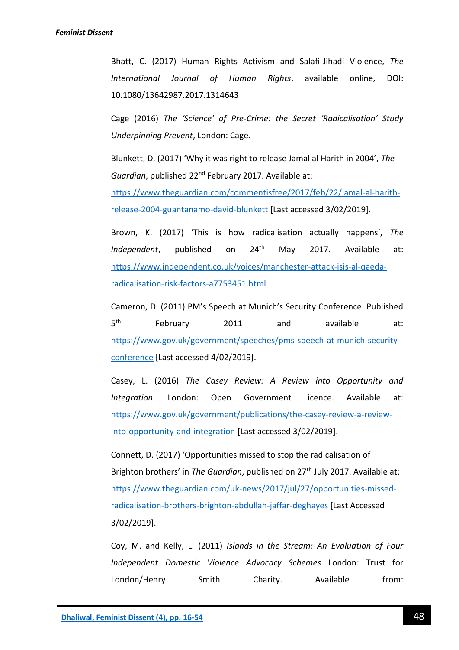Bhatt, C. (2017) Human Rights Activism and Salafi-Jihadi Violence, *The International Journal of Human Rights*, available online, DOI: 10.1080/13642987.2017.1314643

Cage (2016) *The 'Science' of Pre-Crime: the Secret 'Radicalisation' Study Underpinning Prevent*, London: Cage.

Blunkett, D. (2017) 'Why it was right to release Jamal al Harith in 2004', *The Guardian*, published 22nd February 2017. Available at:

[https://www.theguardian.com/commentisfree/2017/feb/22/jamal-al-harith](https://www.theguardian.com/commentisfree/2017/feb/22/jamal-al-harith-release-2004-guantanamo-david-blunkett)[release-2004-guantanamo-david-blunkett](https://www.theguardian.com/commentisfree/2017/feb/22/jamal-al-harith-release-2004-guantanamo-david-blunkett) [Last accessed 3/02/2019].

Brown, K. (2017) 'This is how radicalisation actually happens', *The Independent*, published on 24<sup>th</sup> May 2017. Available at: [https://www.independent.co.uk/voices/manchester-attack-isis-al-qaeda](https://www.independent.co.uk/voices/manchester-attack-isis-al-qaeda-radicalisation-risk-factors-a7753451.html)[radicalisation-risk-factors-a7753451.html](https://www.independent.co.uk/voices/manchester-attack-isis-al-qaeda-radicalisation-risk-factors-a7753451.html)

Cameron, D. (2011) PM's Speech at Munich's Security Conference. Published  $5<sup>th</sup>$ th February 2011 and available at: [https://www.gov.uk/government/speeches/pms-speech-at-munich-security](https://www.gov.uk/government/speeches/pms-speech-at-munich-security-conference)[conference](https://www.gov.uk/government/speeches/pms-speech-at-munich-security-conference) [Last accessed 4/02/2019].

Casey, L. (2016) *The Casey Review: A Review into Opportunity and Integration*. London: Open Government Licence. Available at: [https://www.gov.uk/government/publications/the-casey-review-a-review](https://www.gov.uk/government/publications/the-casey-review-a-review-into-opportunity-and-integration)[into-opportunity-and-integration](https://www.gov.uk/government/publications/the-casey-review-a-review-into-opportunity-and-integration) [Last accessed 3/02/2019].

Connett, D. (2017) 'Opportunities missed to stop the radicalisation of Brighton brothers' in *The Guardian*, published on 27th July 2017. Available at: [https://www.theguardian.com/uk-news/2017/jul/27/opportunities-missed](https://www.theguardian.com/uk-news/2017/jul/27/opportunities-missed-radicalisation-brothers-brighton-abdullah-jaffar-deghayes)[radicalisation-brothers-brighton-abdullah-jaffar-deghayes](https://www.theguardian.com/uk-news/2017/jul/27/opportunities-missed-radicalisation-brothers-brighton-abdullah-jaffar-deghayes) [Last Accessed 3/02/2019].

Coy, M. and Kelly, L. (2011) *Islands in the Stream: An Evaluation of Four Independent Domestic Violence Advocacy Schemes* London: Trust for London/Henry Smith Charity. Available from: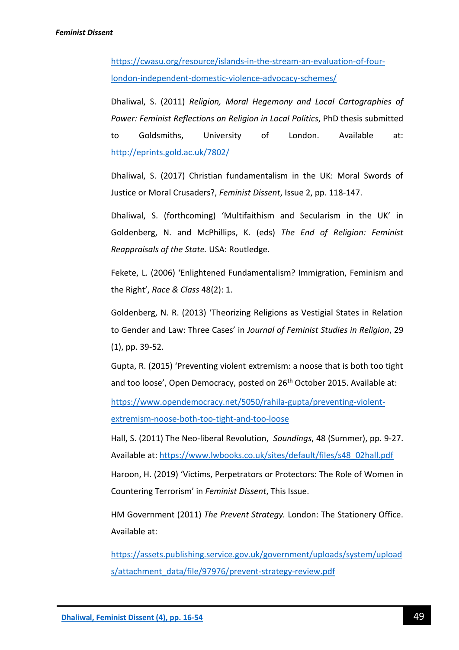[https://cwasu.org/resource/islands-in-the-stream-an-evaluation-of-four](https://cwasu.org/resource/islands-in-the-stream-an-evaluation-of-four-london-independent-domestic-violence-advocacy-schemes/)[london-independent-domestic-violence-advocacy-schemes/](https://cwasu.org/resource/islands-in-the-stream-an-evaluation-of-four-london-independent-domestic-violence-advocacy-schemes/)

Dhaliwal, S. (2011) *Religion, Moral Hegemony and Local Cartographies of Power: Feminist Reflections on Religion in Local Politics*, PhD thesis submitted to Goldsmiths, University of London. Available at: <http://eprints.gold.ac.uk/7802/>

Dhaliwal, S. (2017) Christian fundamentalism in the UK: Moral Swords of Justice or Moral Crusaders?, *Feminist Dissent*, Issue 2, pp. 118-147.

Dhaliwal, S. (forthcoming) 'Multifaithism and Secularism in the UK' in Goldenberg, N. and McPhillips, K. (eds) *The End of Religion: Feminist Reappraisals of the State.* USA: Routledge.

Fekete, L. (2006) 'Enlightened Fundamentalism? Immigration, Feminism and the Right', *Race & Class* 48(2): 1.

Goldenberg, N. R. (2013) 'Theorizing Religions as Vestigial States in Relation to Gender and Law: Three Cases' in *Journal of Feminist Studies in Religion*, 29 (1), pp. 39-52.

Gupta, R. (2015) 'Preventing violent extremism: a noose that is both too tight and too loose', Open Democracy, posted on 26<sup>th</sup> October 2015. Available at:

[https://www.opendemocracy.net/5050/rahila-gupta/preventing-violent](https://www.opendemocracy.net/5050/rahila-gupta/preventing-violent-extremism-noose-both-too-tight-and-too-loose)[extremism-noose-both-too-tight-and-too-loose](https://www.opendemocracy.net/5050/rahila-gupta/preventing-violent-extremism-noose-both-too-tight-and-too-loose)

Hall, S. (2011) The Neo-liberal Revolution, *Soundings*, 48 (Summer), pp. 9-27. Available at: [https://www.lwbooks.co.uk/sites/default/files/s48\\_02hall.pdf](https://www.lwbooks.co.uk/sites/default/files/s48_02hall.pdf)

Haroon, H. (2019) 'Victims, Perpetrators or Protectors: The Role of Women in Countering Terrorism' in *Feminist Dissent*, This Issue.

HM Government (2011) *The Prevent Strategy.* London: The Stationery Office. Available at:

[https://assets.publishing.service.gov.uk/government/uploads/system/upload](https://assets.publishing.service.gov.uk/government/uploads/system/uploads/attachment_data/file/97976/prevent-strategy-review.pdf) [s/attachment\\_data/file/97976/prevent-strategy-review.pdf](https://assets.publishing.service.gov.uk/government/uploads/system/uploads/attachment_data/file/97976/prevent-strategy-review.pdf)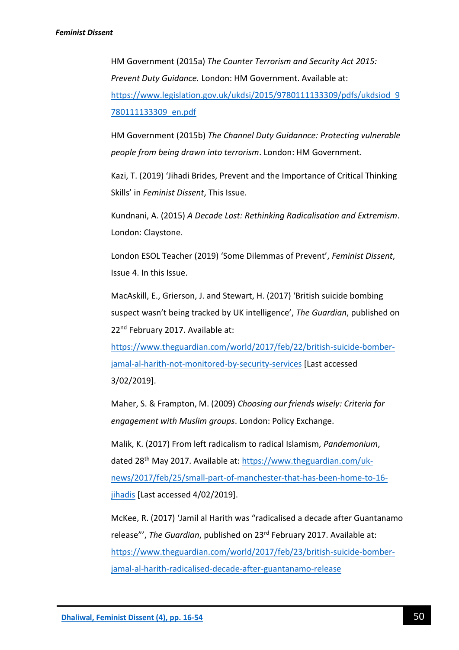HM Government (2015a) *The Counter Terrorism and Security Act 2015: Prevent Duty Guidance.* London: HM Government. Available at: [https://www.legislation.gov.uk/ukdsi/2015/9780111133309/pdfs/ukdsiod\\_9](https://www.legislation.gov.uk/ukdsi/2015/9780111133309/pdfs/ukdsiod_9780111133309_en.pdf) [780111133309\\_en.pdf](https://www.legislation.gov.uk/ukdsi/2015/9780111133309/pdfs/ukdsiod_9780111133309_en.pdf)

HM Government (2015b) *The Channel Duty Guidannce: Protecting vulnerable people from being drawn into terrorism*. London: HM Government.

Kazi, T. (2019) 'Jihadi Brides, Prevent and the Importance of Critical Thinking Skills' in *Feminist Dissent*, This Issue.

Kundnani, A. (2015) *A Decade Lost: Rethinking Radicalisation and Extremism*. London: Claystone.

London ESOL Teacher (2019) 'Some Dilemmas of Prevent', *Feminist Dissent*, Issue 4. In this Issue.

MacAskill, E., Grierson, J. and Stewart, H. (2017) 'British suicide bombing suspect wasn't being tracked by UK intelligence', *The Guardian*, published on 22<sup>nd</sup> February 2017. Available at:

[https://www.theguardian.com/world/2017/feb/22/british-suicide-bomber](https://www.theguardian.com/world/2017/feb/22/british-suicide-bomber-jamal-al-harith-not-monitored-by-security-services)[jamal-al-harith-not-monitored-by-security-services](https://www.theguardian.com/world/2017/feb/22/british-suicide-bomber-jamal-al-harith-not-monitored-by-security-services) [Last accessed 3/02/2019].

Maher, S. & Frampton, M. (2009) *Choosing our friends wisely: Criteria for engagement with Muslim groups*. London: Policy Exchange.

Malik, K. (2017) From left radicalism to radical Islamism, *Pandemonium*, dated 28th May 2017. Available at: [https://www.theguardian.com/uk](https://www.theguardian.com/uk-news/2017/feb/25/small-part-of-manchester-that-has-been-home-to-16-jihadis)[news/2017/feb/25/small-part-of-manchester-that-has-been-home-to-16](https://www.theguardian.com/uk-news/2017/feb/25/small-part-of-manchester-that-has-been-home-to-16-jihadis) [jihadis](https://www.theguardian.com/uk-news/2017/feb/25/small-part-of-manchester-that-has-been-home-to-16-jihadis) [Last accessed 4/02/2019].

McKee, R. (2017) 'Jamil al Harith was "radicalised a decade after Guantanamo release"', *The Guardian*, published on 23rd February 2017. Available at: [https://www.theguardian.com/world/2017/feb/23/british-suicide-bomber](https://www.theguardian.com/world/2017/feb/23/british-suicide-bomber-jamal-al-harith-radicalised-decade-after-guantanamo-release)[jamal-al-harith-radicalised-decade-after-guantanamo-release](https://www.theguardian.com/world/2017/feb/23/british-suicide-bomber-jamal-al-harith-radicalised-decade-after-guantanamo-release)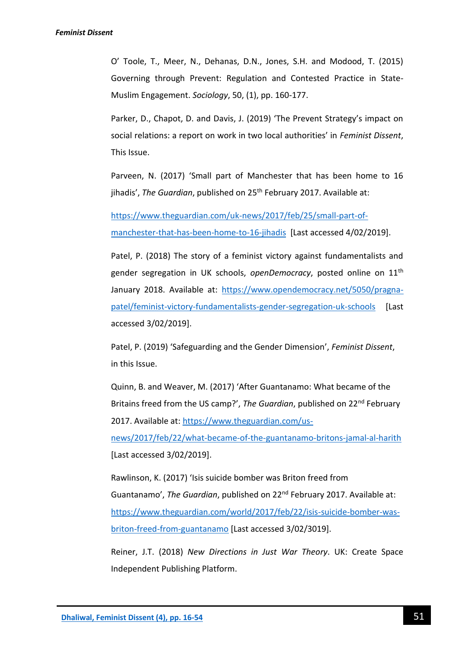O' Toole, T., Meer, N., Dehanas, D.N., Jones, S.H. and Modood, T. (2015) Governing through Prevent: Regulation and Contested Practice in State-Muslim Engagement. *Sociology*, 50, (1), pp. 160-177.

Parker, D., Chapot, D. and Davis, J. (2019) 'The Prevent Strategy's impact on social relations: a report on work in two local authorities' in *Feminist Dissent*, This Issue.

Parveen, N. (2017) 'Small part of Manchester that has been home to 16 jihadis', *The Guardian*, published on 25<sup>th</sup> February 2017. Available at:

[https://www.theguardian.com/uk-news/2017/feb/25/small-part-of](https://www.theguardian.com/uk-news/2017/feb/25/small-part-of-manchester-that-has-been-home-to-16-jihadis)[manchester-that-has-been-home-to-16-jihadis](https://www.theguardian.com/uk-news/2017/feb/25/small-part-of-manchester-that-has-been-home-to-16-jihadis) [Last accessed 4/02/2019].

Patel, P. (2018) The story of a feminist victory against fundamentalists and gender segregation in UK schools, *openDemocracy*, posted online on 11th January 2018. Available at: [https://www.opendemocracy.net/5050/pragna](https://www.opendemocracy.net/5050/pragna-patel/feminist-victory-fundamentalists-gender-segregation-uk-schools)[patel/feminist-victory-fundamentalists-gender-segregation-uk-schools](https://www.opendemocracy.net/5050/pragna-patel/feminist-victory-fundamentalists-gender-segregation-uk-schools) [Last accessed 3/02/2019].

Patel, P. (2019) 'Safeguarding and the Gender Dimension', *Feminist Dissent*, in this Issue.

Quinn, B. and Weaver, M. (2017) 'After Guantanamo: What became of the Britains freed from the US camp?', *The Guardian*, published on 22nd February 2017. Available at: [https://www.theguardian.com/us-](https://www.theguardian.com/us-news/2017/feb/22/what-became-of-the-guantanamo-britons-jamal-al-harith)

[news/2017/feb/22/what-became-of-the-guantanamo-britons-jamal-al-harith](https://www.theguardian.com/us-news/2017/feb/22/what-became-of-the-guantanamo-britons-jamal-al-harith) [Last accessed 3/02/2019].

Rawlinson, K. (2017) 'Isis suicide bomber was Briton freed from Guantanamo', *The Guardian*, published on 22nd February 2017. Available at: [https://www.theguardian.com/world/2017/feb/22/isis-suicide-bomber-was](https://www.theguardian.com/world/2017/feb/22/isis-suicide-bomber-was-briton-freed-from-guantanamo)[briton-freed-from-guantanamo](https://www.theguardian.com/world/2017/feb/22/isis-suicide-bomber-was-briton-freed-from-guantanamo) [Last accessed 3/02/3019].

Reiner, J.T. (2018) *New Directions in Just War Theory*. UK: Create Space Independent Publishing Platform.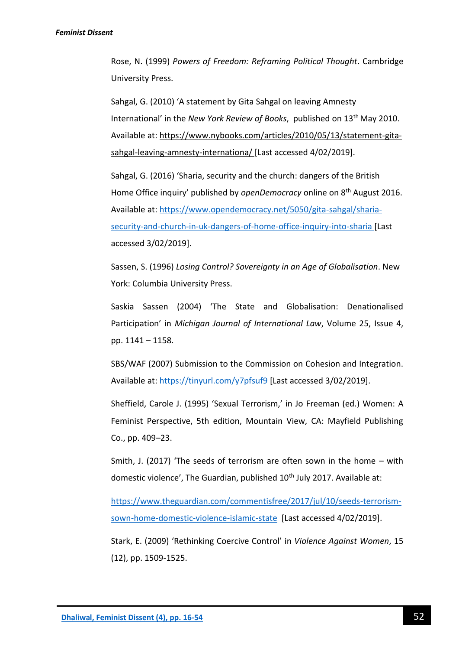Rose, N. (1999) *Powers of Freedom: Reframing Political Thought*. Cambridge University Press.

Sahgal, G. (2010) 'A statement by Gita Sahgal on leaving Amnesty International' in the *New York Review of Books*, published on 13th May 2010. Available at: [https://www.nybooks.com/articles/2010/05/13/statement-gita](https://www.nybooks.com/articles/2010/05/13/statement-gita-sahgal-leaving-amnesty-internationa/)[sahgal-leaving-amnesty-internationa/](https://www.nybooks.com/articles/2010/05/13/statement-gita-sahgal-leaving-amnesty-internationa/) [Last accessed 4/02/2019].

Sahgal, G. (2016) 'Sharia, security and the church: dangers of the British Home Office inquiry' published by *openDemocracy* online on 8<sup>th</sup> August 2016. Available at: [https://www.opendemocracy.net/5050/gita-sahgal/sharia](https://www.opendemocracy.net/5050/gita-sahgal/sharia-security-and-church-in-uk-dangers-of-home-office-inquiry-into-sharia)[security-and-church-in-uk-dangers-of-home-office-inquiry-into-sharia](https://www.opendemocracy.net/5050/gita-sahgal/sharia-security-and-church-in-uk-dangers-of-home-office-inquiry-into-sharia) [Last accessed 3/02/2019].

Sassen, S. (1996) *Losing Control? Sovereignty in an Age of Globalisation*. New York: Columbia University Press.

Saskia Sassen (2004) 'The State and Globalisation: Denationalised Participation' in *Michigan Journal of International Law*, Volume 25, Issue 4, pp. 1141 – 1158.

SBS/WAF (2007) Submission to the Commission on Cohesion and Integration. Available at:<https://tinyurl.com/y7pfsuf9> [Last accessed 3/02/2019].

Sheffield, Carole J. (1995) 'Sexual Terrorism,' in Jo Freeman (ed.) Women: A Feminist Perspective, 5th edition, Mountain View, CA: Mayfield Publishing Co., pp. 409–23.

Smith, J. (2017) 'The seeds of terrorism are often sown in the home – with domestic violence', The Guardian, published 10<sup>th</sup> July 2017. Available at:

[https://www.theguardian.com/commentisfree/2017/jul/10/seeds-terrorism](https://www.theguardian.com/commentisfree/2017/jul/10/seeds-terrorism-sown-home-domestic-violence-islamic-state)[sown-home-domestic-violence-islamic-state](https://www.theguardian.com/commentisfree/2017/jul/10/seeds-terrorism-sown-home-domestic-violence-islamic-state) [Last accessed 4/02/2019].

Stark, E. (2009) 'Rethinking Coercive Control' in *Violence Against Women*, 15 (12), pp. 1509-1525.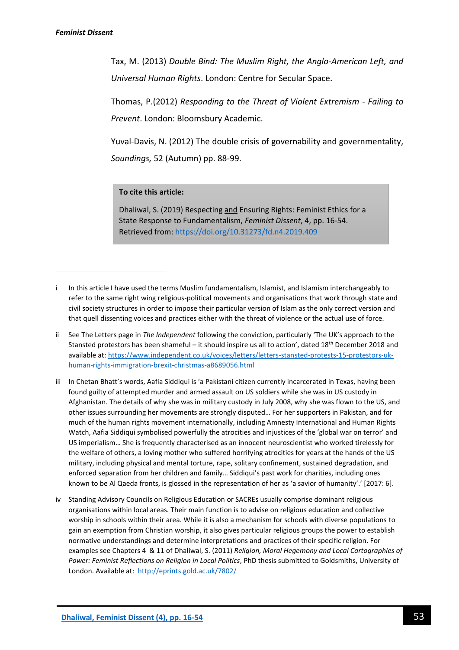**.** 

Tax, M. (2013) *Double Bind: The Muslim Right, the Anglo-American Left, and Universal Human Rights*. London: Centre for Secular Space.

Thomas, P.(2012) *Responding to the Threat of Violent Extremism - Failing to Prevent*. London: Bloomsbury Academic.

Yuval-Davis, N. (2012) The double crisis of governability and governmentality, *Soundings,* 52 (Autumn) pp. 88-99.

#### **To cite this article:**

Dhaliwal, S. (2019) Respecting and Ensuring Rights: Feminist Ethics for a State Response to Fundamentalism, *Feminist Dissent*, 4, pp. 16-54. Retrieved from:<https://doi.org/10.31273/fd.n4.2019.409>

- iii In Chetan Bhatt's words, Aafia Siddiqui is 'a Pakistani citizen currently incarcerated in Texas, having been found guilty of attempted murder and armed assault on US soldiers while she was in US custody in Afghanistan. The details of why she was in military custody in July 2008, why she was flown to the US, and other issues surrounding her movements are strongly disputed… For her supporters in Pakistan, and for much of the human rights movement internationally, including Amnesty International and Human Rights Watch, Aafia Siddiqui symbolised powerfully the atrocities and injustices of the 'global war on terror' and US imperialism… She is frequently characterised as an innocent neuroscientist who worked tirelessly for the welfare of others, a loving mother who suffered horrifying atrocities for years at the hands of the US military, including physical and mental torture, rape, solitary confinement, sustained degradation, and enforced separation from her children and family… Siddiqui's past work for charities, including ones known to be Al Qaeda fronts, is glossed in the representation of her as 'a savior of humanity'.' [2017: 6].
- iv Standing Advisory Councils on Religious Education or SACREs usually comprise dominant religious organisations within local areas. Their main function is to advise on religious education and collective worship in schools within their area. While it is also a mechanism for schools with diverse populations to gain an exemption from Christian worship, it also gives particular religious groups the power to establish normative understandings and determine interpretations and practices of their specific religion. For examples see Chapters 4 & 11 of Dhaliwal, S. (2011) *Religion, Moral Hegemony and Local Cartographies of Power: Feminist Reflections on Religion in Local Politics*, PhD thesis submitted to Goldsmiths, University of London. Available at: <http://eprints.gold.ac.uk/7802/>

i In this article I have used the terms Muslim fundamentalism, Islamist, and Islamism interchangeably to refer to the same right wing religious-political movements and organisations that work through state and civil society structures in order to impose their particular version of Islam as the only correct version and that quell dissenting voices and practices either with the threat of violence or the actual use of force.

ii See The Letters page in *The Independent* following the conviction, particularly 'The UK's approach to the Stansted protestors has been shameful – it should inspire us all to action', dated 18th December 2018 and available at: [https://www.independent.co.uk/voices/letters/letters-stansted-protests-15-protestors-uk](https://www.independent.co.uk/voices/letters/letters-stansted-protests-15-protestors-uk-human-rights-immigration-brexit-christmas-a8689056.html)[human-rights-immigration-brexit-christmas-a8689056.html](https://www.independent.co.uk/voices/letters/letters-stansted-protests-15-protestors-uk-human-rights-immigration-brexit-christmas-a8689056.html)